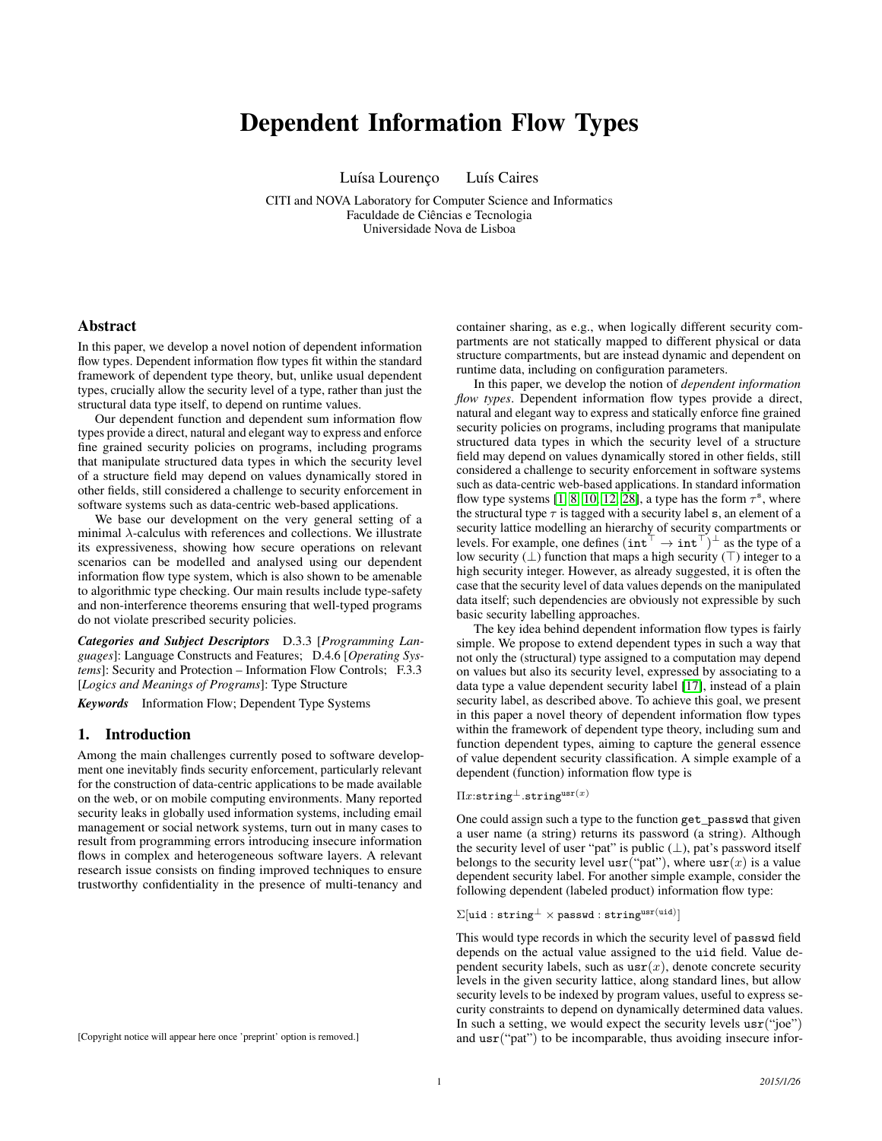# Dependent Information Flow Types

Luísa Lourenço Luís Caires

CITI and NOVA Laboratory for Computer Science and Informatics Faculdade de Ciências e Tecnologia Universidade Nova de Lisboa

## Abstract

In this paper, we develop a novel notion of dependent information flow types. Dependent information flow types fit within the standard framework of dependent type theory, but, unlike usual dependent types, crucially allow the security level of a type, rather than just the structural data type itself, to depend on runtime values.

Our dependent function and dependent sum information flow types provide a direct, natural and elegant way to express and enforce fine grained security policies on programs, including programs that manipulate structured data types in which the security level of a structure field may depend on values dynamically stored in other fields, still considered a challenge to security enforcement in software systems such as data-centric web-based applications.

We base our development on the very general setting of a minimal  $\lambda$ -calculus with references and collections. We illustrate its expressiveness, showing how secure operations on relevant scenarios can be modelled and analysed using our dependent information flow type system, which is also shown to be amenable to algorithmic type checking. Our main results include type-safety and non-interference theorems ensuring that well-typed programs do not violate prescribed security policies.

*Categories and Subject Descriptors* D.3.3 [*Programming Languages*]: Language Constructs and Features; D.4.6 [*Operating Systems*]: Security and Protection – Information Flow Controls; F.3.3 [*Logics and Meanings of Programs*]: Type Structure

*Keywords* Information Flow; Dependent Type Systems

## 1. Introduction

Among the main challenges currently posed to software development one inevitably finds security enforcement, particularly relevant for the construction of data-centric applications to be made available on the web, or on mobile computing environments. Many reported security leaks in globally used information systems, including email management or social network systems, turn out in many cases to result from programming errors introducing insecure information flows in complex and heterogeneous software layers. A relevant research issue consists on finding improved techniques to ensure trustworthy confidentiality in the presence of multi-tenancy and

container sharing, as e.g., when logically different security compartments are not statically mapped to different physical or data structure compartments, but are instead dynamic and dependent on runtime data, including on configuration parameters.

In this paper, we develop the notion of *dependent information flow types*. Dependent information flow types provide a direct, natural and elegant way to express and statically enforce fine grained security policies on programs, including programs that manipulate structured data types in which the security level of a structure field may depend on values dynamically stored in other fields, still considered a challenge to security enforcement in software systems such as data-centric web-based applications. In standard information flow type systems [\[1,](#page-11-0) [8,](#page-11-1) [10,](#page-11-2) [12,](#page-11-3) [28\]](#page-11-4), a type has the form  $\tau^s$ , where the structural type  $\tau$  is tagged with a security label s, an element of a security lattice modelling an hierarchy of security compartments or levels. For example, one defines  $(\text{int}^{\top} \rightarrow \text{int}^{\top})^{\perp}$  as the type of a low security  $(\perp)$  function that maps a high security  $(\top)$  integer to a high security integer. However, as already suggested, it is often the case that the security level of data values depends on the manipulated data itself; such dependencies are obviously not expressible by such basic security labelling approaches.

The key idea behind dependent information flow types is fairly simple. We propose to extend dependent types in such a way that not only the (structural) type assigned to a computation may depend on values but also its security level, expressed by associating to a data type a value dependent security label [\[17\]](#page-11-5), instead of a plain security label, as described above. To achieve this goal, we present in this paper a novel theory of dependent information flow types within the framework of dependent type theory, including sum and function dependent types, aiming to capture the general essence of value dependent security classification. A simple example of a dependent (function) information flow type is

## $\Pi x$ :string<sup>⊥</sup>.string<sup>usr(x)</sup>

One could assign such a type to the function get\_passwd that given a user name (a string) returns its password (a string). Although the security level of user "pat" is public  $(\perp)$ , pat's password itself belongs to the security level  $usr("pat")$ , where  $usr(x)$  is a value dependent security label. For another simple example, consider the following dependent (labeled product) information flow type:

 $\Sigma[\texttt{uid}:\texttt{string}^{\bot} \times \texttt{password}:\texttt{string}^{\texttt{usr}(\texttt{uid})}]$ 

This would type records in which the security level of passwd field depends on the actual value assigned to the uid field. Value dependent security labels, such as  $\text{usr}(x)$ , denote concrete security levels in the given security lattice, along standard lines, but allow security levels to be indexed by program values, useful to express security constraints to depend on dynamically determined data values. In such a setting, we would expect the security levels  $usr("joe")$ and usr("pat") to be incomparable, thus avoiding insecure infor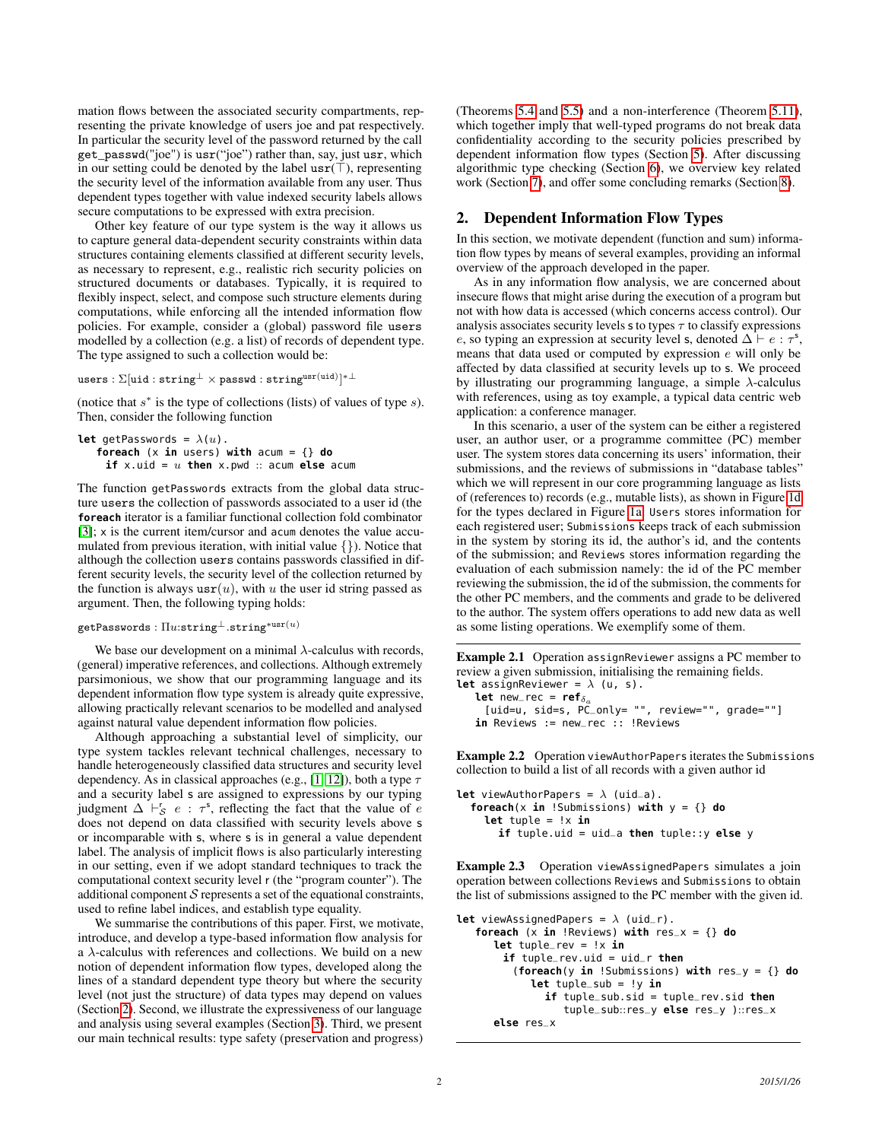mation flows between the associated security compartments, representing the private knowledge of users joe and pat respectively. In particular the security level of the password returned by the call get\_passwd("joe") is usr("joe") rather than, say, just usr, which in our setting could be denoted by the label  $usr(\top)$ , representing the security level of the information available from any user. Thus dependent types together with value indexed security labels allows secure computations to be expressed with extra precision.

Other key feature of our type system is the way it allows us to capture general data-dependent security constraints within data structures containing elements classified at different security levels, as necessary to represent, e.g., realistic rich security policies on structured documents or databases. Typically, it is required to flexibly inspect, select, and compose such structure elements during computations, while enforcing all the intended information flow policies. For example, consider a (global) password file users modelled by a collection (e.g. a list) of records of dependent type. The type assigned to such a collection would be:

 ${\tt users} : \Sigma[{\ttuid}: {\tt string^\bot \times passwd}: {\tt string^{usr(uid)}}]^{*\bot}$ 

(notice that  $s^*$  is the type of collections (lists) of values of type  $s$ ). Then, consider the following function

```
let getPasswords = \lambda(u).
   foreach (x in users) with acum = {} do
    if x.uid = u then x.pwd :: acum else acum
```
The function getPasswords extracts from the global data structure users the collection of passwords associated to a user id (the **foreach** iterator is a familiar functional collection fold combinator [\[3\]](#page-11-6); x is the current item/cursor and acum denotes the value accumulated from previous iteration, with initial value {}). Notice that although the collection users contains passwords classified in different security levels, the security level of the collection returned by the function is always  $usr(u)$ , with u the user id string passed as argument. Then, the following typing holds:

#### $getPasswords : \Pi u: \text{string}^{\perp}. \text{string}^{*\text{usr}(u)}$

We base our development on a minimal  $\lambda$ -calculus with records, (general) imperative references, and collections. Although extremely parsimonious, we show that our programming language and its dependent information flow type system is already quite expressive, allowing practically relevant scenarios to be modelled and analysed against natural value dependent information flow policies.

Although approaching a substantial level of simplicity, our type system tackles relevant technical challenges, necessary to handle heterogeneously classified data structures and security level dependency. As in classical approaches (e.g., [\[1,](#page-11-0) [12\]](#page-11-3)), both a type  $\tau$ and a security label s are assigned to expressions by our typing judgment  $\Delta \vdash_S^r e : \tau^s$ , reflecting the fact that the value of e does not depend on data classified with security levels above s or incomparable with s, where s is in general a value dependent label. The analysis of implicit flows is also particularly interesting in our setting, even if we adopt standard techniques to track the computational context security level r (the "program counter"). The additional component  $S$  represents a set of the equational constraints, used to refine label indices, and establish type equality.

We summarise the contributions of this paper. First, we motivate, introduce, and develop a type-based information flow analysis for a λ-calculus with references and collections. We build on a new notion of dependent information flow types, developed along the lines of a standard dependent type theory but where the security level (not just the structure) of data types may depend on values (Section [2\)](#page-1-0). Second, we illustrate the expressiveness of our language and analysis using several examples (Section [3\)](#page-4-0). Third, we present our main technical results: type safety (preservation and progress) (Theorems [5.4](#page-8-0) and [5.5\)](#page-8-1) and a non-interference (Theorem [5.11\)](#page-8-2), which together imply that well-typed programs do not break data confidentiality according to the security policies prescribed by dependent information flow types (Section [5\)](#page-8-3). After discussing algorithmic type checking (Section [6\)](#page-9-0), we overview key related work (Section [7\)](#page-9-1), and offer some concluding remarks (Section [8\)](#page-11-7).

## <span id="page-1-0"></span>2. Dependent Information Flow Types

In this section, we motivate dependent (function and sum) information flow types by means of several examples, providing an informal overview of the approach developed in the paper.

As in any information flow analysis, we are concerned about insecure flows that might arise during the execution of a program but not with how data is accessed (which concerns access control). Our analysis associates security levels  $\sigma$  to types  $\tau$  to classify expressions e, so typing an expression at security level s, denoted  $\Delta \vdash e : \tau^s$ , means that data used or computed by expression e will only be affected by data classified at security levels up to s. We proceed by illustrating our programming language, a simple  $\lambda$ -calculus with references, using as toy example, a typical data centric web application: a conference manager.

In this scenario, a user of the system can be either a registered user, an author user, or a programme committee (PC) member user. The system stores data concerning its users' information, their submissions, and the reviews of submissions in "database tables" which we will represent in our core programming language as lists of (references to) records (e.g., mutable lists), as shown in Figure [1d](#page-2-0) for the types declared in Figure [1a:](#page-2-0) Users stores information for each registered user; Submissions keeps track of each submission in the system by storing its id, the author's id, and the contents of the submission; and Reviews stores information regarding the evaluation of each submission namely: the id of the PC member reviewing the submission, the id of the submission, the comments for the other PC members, and the comments and grade to be delivered to the author. The system offers operations to add new data as well as some listing operations. We exemplify some of them.

Example 2.1 Operation assignReviewer assigns a PC member to review a given submission, initialising the remaining fields. **let** assignReviewer =  $\lambda$  (u, s).

**let** new\_rec =  $ref_{\delta_a}$ [uid=u, sid=s, PC\_only= "", review="", grade=""] in Reviews := new\_rec :: !Reviews

<span id="page-1-1"></span>Example 2.2 Operation viewAuthorPapers iterates the Submissions collection to build a list of all records with a given author id

```
let viewAuthorPapers = \lambda (uid_a).
  foreach(x in !Submissions) with y = {} do
    let tuple = !x in
       if tuple.uid = uid_a then tuple::y else y
```
<span id="page-1-2"></span>Example 2.3 Operation viewAssignedPapers simulates a join operation between collections Reviews and Submissions to obtain the list of submissions assigned to the PC member with the given id.

```
let viewAssignedPapers = \lambda (uid_r).
   foreach (x \in \mathbf{in} \ \text{Reviews}) with res_x = \{\} do
      let tuple_rev = !x in
        if tuple_rev.uid = uid_r then
          (foreach(y in !Submissions) with res_y = {} do
             let tuple_sub = !y in
                if tuple_sub.sid = tuple_rev.sid then
                   tuple_sub::res_y else res_y )::res_x
      else res_x
```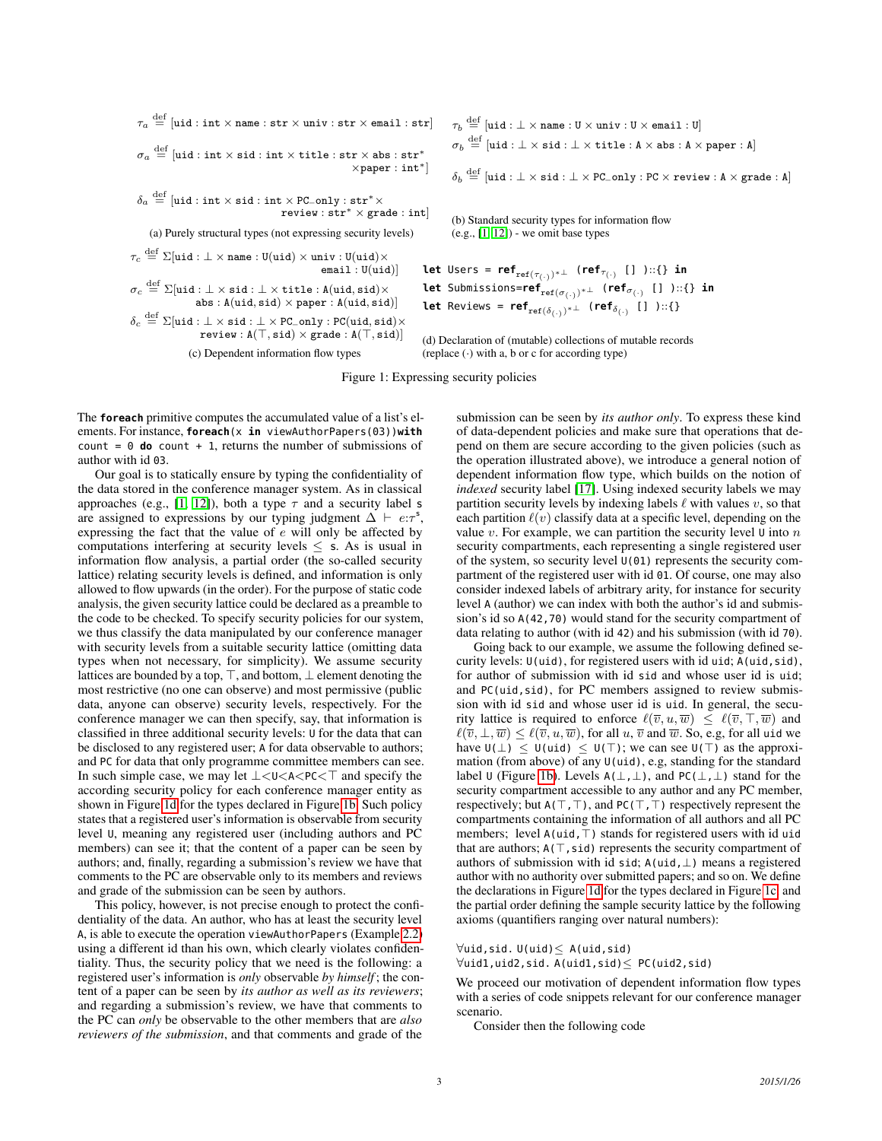<span id="page-2-0"></span> $\tau_a \stackrel{\rm def}{=} [\mathtt{uid}: \mathtt{int} \times \mathtt{name}: \mathtt{str} \times \mathtt{univ}: \mathtt{str} \times \mathtt{email}: \mathtt{str}]$  $\sigma_a \stackrel{\rm def}{=} [\texttt{uid}: \texttt{int} \times \texttt{sid}: \texttt{int} \times \texttt{title}: \texttt{str} \times \texttt{abs}: \texttt{str}^*$ ×paper : int∗]  $\delta_a \stackrel{\rm def}{=} [\texttt{uid}: \texttt{int} \times \texttt{sid}: \texttt{int} \times \texttt{PC\_only}: \texttt{str}^* \times$ review : str<sup>∗</sup> × grade : int] (a) Purely structural types (not expressing security levels)  $\tau_c \stackrel{\rm def}{=} \Sigma[$ uid :  $\bot \times$  name : U $(\texttt{uid}) \times \texttt{univ} :$  U $(\texttt{uid}) \times$  $email: U(uid)]$ 

 $\sigma_c \stackrel{{\mathrm {\footnotesize def}}}{=} \Sigma[$ uid : $\bot \times$  sid : $\bot \times$  title : A $({\mathrm {uid}},{\mathrm {sid}}) \times$ abs :  $A(uid, sid) \times paper : A(uid, sid)]$ 

 $\delta_c \stackrel{\rm def}{=} \Sigma$ [uid :  $\bot \times \texttt{sid} : \bot \times \texttt{PC\_only} : \texttt{PC}(\texttt{uid}, \texttt{sid}) \times$  $review : A(T, sid) \times grade : A(T, sid)$ 

(c) Dependent information flow types

 $\tau_b \stackrel{\rm def}{=} [\mathtt{uid} : \bot \times \mathtt{name} : \mathtt{U} \times \mathtt{univ} : \mathtt{U} \times \mathtt{email} : \mathtt{U}]$  $\sigma_b \stackrel{\rm def}{=} [\texttt{uid} : \bot \times \texttt{sid} : \bot \times \texttt{title} : \mathtt{A} \times \texttt{abs} : \mathtt{A} \times \texttt{paper} : \mathtt{A}]$ 

 $\delta_b \stackrel{\rm def}{=} [\texttt{uid} : \bot \times \texttt{sid} : \bot \times \texttt{PC\_only} : \texttt{PC} \times \texttt{review} : \texttt{A} \times \texttt{grade} : \texttt{A}]$ 

(b) Standard security types for information flow  $(e.g., [1, 12])$  $(e.g., [1, 12])$  $(e.g., [1, 12])$  $(e.g., [1, 12])$  - we omit base types

**let** Users = **ref**ref(τ(·) )∗⊥ (**ref**τ(·) [] )::{} **in let** Submissions=**ref**ref(σ(·) )∗⊥ (**ref**σ(·) [] )::{} **in let** Reviews =  $\mathsf{ref}_{\mathrm{ref}(\delta_{(\cdot)})^*\perp}$  ( $\mathsf{ref}_{\delta_{(\cdot)}}$  [] )∷{}

(d) Declaration of (mutable) collections of mutable records (replace  $\left(\cdot\right)$  with a, b or c for according type)

Figure 1: Expressing security policies

The **foreach** primitive computes the accumulated value of a list's elements. For instance, **foreach**(x **in** viewAuthorPapers(03))**with** count =  $0$  **do** count + 1, returns the number of submissions of author with id 03.

Our goal is to statically ensure by typing the confidentiality of the data stored in the conference manager system. As in classical approaches (e.g., [\[1,](#page-11-0) [12\]](#page-11-3)), both a type  $\tau$  and a security label s are assigned to expressions by our typing judgment  $\Delta \vdash e:\tau^s$ , expressing the fact that the value of e will only be affected by computations interfering at security levels  $\leq$  s. As is usual in information flow analysis, a partial order (the so-called security lattice) relating security levels is defined, and information is only allowed to flow upwards (in the order). For the purpose of static code analysis, the given security lattice could be declared as a preamble to the code to be checked. To specify security policies for our system, we thus classify the data manipulated by our conference manager with security levels from a suitable security lattice (omitting data types when not necessary, for simplicity). We assume security lattices are bounded by a top,  $\top$ , and bottom,  $\bot$  element denoting the most restrictive (no one can observe) and most permissive (public data, anyone can observe) security levels, respectively. For the conference manager we can then specify, say, that information is classified in three additional security levels: U for the data that can be disclosed to any registered user; A for data observable to authors; and PC for data that only programme committee members can see. In such simple case, we may let  $\bot < \cup < A < PC < T$  and specify the according security policy for each conference manager entity as shown in Figure [1d](#page-2-0) for the types declared in Figure [1b.](#page-2-0) Such policy states that a registered user's information is observable from security level U, meaning any registered user (including authors and PC members) can see it; that the content of a paper can be seen by authors; and, finally, regarding a submission's review we have that comments to the PC are observable only to its members and reviews and grade of the submission can be seen by authors.

This policy, however, is not precise enough to protect the confidentiality of the data. An author, who has at least the security level A, is able to execute the operation viewAuthorPapers (Example [2.2\)](#page-1-1) using a different id than his own, which clearly violates confidentiality. Thus, the security policy that we need is the following: a registered user's information is *only* observable *by himself* ; the content of a paper can be seen by *its author as well as its reviewers*; and regarding a submission's review, we have that comments to the PC can *only* be observable to the other members that are *also reviewers of the submission*, and that comments and grade of the

submission can be seen by *its author only*. To express these kind of data-dependent policies and make sure that operations that depend on them are secure according to the given policies (such as the operation illustrated above), we introduce a general notion of dependent information flow type, which builds on the notion of *indexed* security label [\[17\]](#page-11-5). Using indexed security labels we may partition security levels by indexing labels  $\ell$  with values  $v$ , so that each partition  $\ell(v)$  classify data at a specific level, depending on the value  $v$ . For example, we can partition the security level  $\mathsf U$  into  $n$ security compartments, each representing a single registered user of the system, so security level U(01) represents the security compartment of the registered user with id 01. Of course, one may also consider indexed labels of arbitrary arity, for instance for security level A (author) we can index with both the author's id and submission's id so A(42,70) would stand for the security compartment of data relating to author (with id 42) and his submission (with id 70).

Going back to our example, we assume the following defined security levels:  $U(uid)$ , for registered users with id uid; A(uid, sid), for author of submission with id sid and whose user id is uid; and PC(uid, sid), for PC members assigned to review submission with id sid and whose user id is uid. In general, the security lattice is required to enforce  $\ell(\overline{v}, u, \overline{w}) \leq \ell(\overline{v}, \top, \overline{w})$  and  $\ell(\overline{v}, \perp, \overline{w}) \leq \ell(\overline{v}, u, \overline{w})$ , for all  $u, \overline{v}$  and  $\overline{w}$ . So, e.g, for all uid we have  $U(\perp) \leq U(\text{uid}) \leq U(\top)$ ; we can see  $U(\top)$  as the approximation (from above) of any U(uid), e.g, standing for the standard label ∪ (Figure [1b\)](#page-2-0). Levels  $A(\perp,\perp)$ , and PC( $\perp,\perp$ ) stand for the security compartment accessible to any author and any PC member, respectively; but  $A(T, T)$ , and  $PC(T, T)$  respectively represent the compartments containing the information of all authors and all PC members; level  $A(\text{uid},T)$  stands for registered users with id uid that are authors;  $A(T, sid)$  represents the security compartment of authors of submission with id sid;  $A(uid, \perp)$  means a registered author with no authority over submitted papers; and so on. We define the declarations in Figure [1d](#page-2-0) for the types declared in Figure [1c,](#page-2-0) and the partial order defining the sample security lattice by the following axioms (quantifiers ranging over natural numbers):

## ∀uid,sid. U(uid)≤ A(uid,sid)

∀uid1,uid2,sid. A(uid1,sid)≤ PC(uid2,sid)

We proceed our motivation of dependent information flow types with a series of code snippets relevant for our conference manager scenario.

Consider then the following code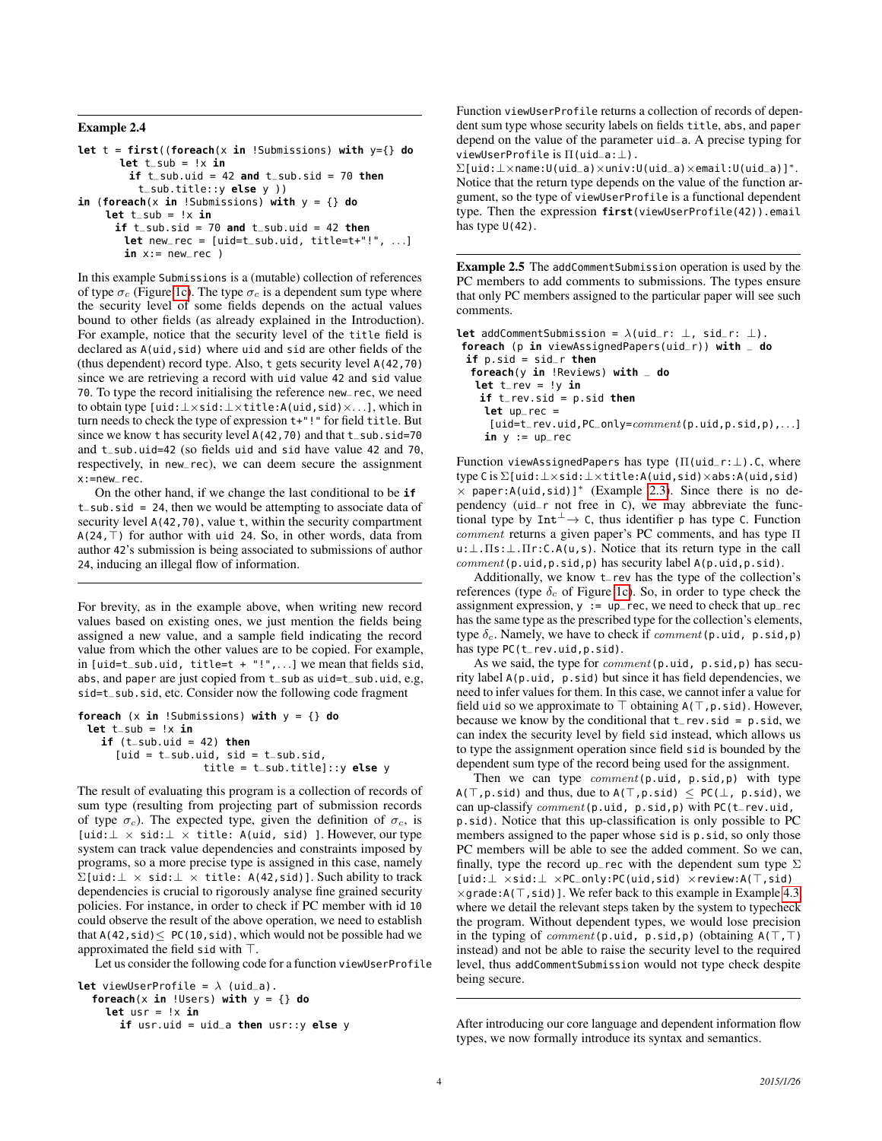### Example 2.4

```
let t = first((foreach(x in !Submissions) with y={} do
       let t\_sub = !x inif t<sub>sub</sub>.uid = 42 and t<sub>sub</sub>.sid = 70 then
           t_sub.title::y else y ))
in (foreach(x in !Submissions) with y = \{\} do
     let t_sub = !x in
       if t<sub>sub</sub>.sid = 70 and t<sub>sub</sub>.uid = 42 then
        let new_rec = [uid=t_sub.uid, title=t+"!", . . .]
        in x:= new\_rec)
```
In this example Submissions is a (mutable) collection of references of type  $\sigma_c$  (Figure [1c\)](#page-2-0). The type  $\sigma_c$  is a dependent sum type where the security level of some fields depends on the actual values bound to other fields (as already explained in the Introduction). For example, notice that the security level of the title field is declared as A(uid,sid) where uid and sid are other fields of the (thus dependent) record type. Also, t gets security level A(42,70) since we are retrieving a record with uid value 42 and sid value 70. To type the record initialising the reference new\_rec, we need to obtain type [uid:⊥×sid:⊥×title:A(uid,sid)×. . .], which in turn needs to check the type of expression t+"!" for field title. But since we know t has security level A(42,70) and that t\_sub.sid=70 and t\_sub.uid=42 (so fields uid and sid have value 42 and 70, respectively, in new\_rec), we can deem secure the assignment x:=new\_rec.

On the other hand, if we change the last conditional to be **if** t\_sub.sid = 24, then we would be attempting to associate data of security level  $A(42,70)$ , value t, within the security compartment  $A(24, \top)$  for author with uid 24. So, in other words, data from author 42's submission is being associated to submissions of author 24, inducing an illegal flow of information.

For brevity, as in the example above, when writing new record values based on existing ones, we just mention the fields being assigned a new value, and a sample field indicating the record value from which the other values are to be copied. For example, in  $[uid=t-sub.uid, title=t + "!",...]$  we mean that fields sid, abs, and paper are just copied from t\_sub as uid=t\_sub.uid, e.g, sid=t\_sub.sid, etc. Consider now the following code fragment

```
foreach (x \in \mathbf{in} ! Submissions) with y = \{\} do
 let t_sub = !x in
    if (t<sub>sub</sub>.uid = 42) then
       [uid = t\_sub.uid, sid = t\_sub.sid,title = t_sub.title]::y else y
```
The result of evaluating this program is a collection of records of sum type (resulting from projecting part of submission records of type  $\sigma_c$ ). The expected type, given the definition of  $\sigma_c$ , is  $[\mathtt{uid}\colon\perp\times\mathtt{sid}\colon\perp\times\mathtt{title}\colon\mathsf{A}(\mathtt{uid},\mathtt{sid})\enspace].\mathtt{However, our type}$ system can track value dependencies and constraints imposed by programs, so a more precise type is assigned in this case, namely  $\Sigma$ [uid: $\bot \times$  sid: $\bot \times$  title: A(42, sid)]. Such ability to track dependencies is crucial to rigorously analyse fine grained security policies. For instance, in order to check if PC member with id 10 could observe the result of the above operation, we need to establish that  $A(42, sid) \le PC(10, sid)$ , which would not be possible had we approximated the field sid with  $\top$ .

Let us consider the following code for a function viewUserProfile

```
let viewUserProfile = \lambda (uid_a).
  foreach(x in !Users) with y = \{\} do
     let usr = !x in
```

```
if usr.uid = uid_a then usr::y else y
```
Function viewUserProfile returns a collection of records of dependent sum type whose security labels on fields title, abs, and paper depend on the value of the parameter uid\_a. A precise typing for viewUserProfile is  $\Pi$ (uid\_a: $\bot$ ).

Σ[uid:⊥×name:U(uid\_a)×univ:U(uid\_a)×email:U(uid\_a)]<sup>∗</sup>. Notice that the return type depends on the value of the function argument, so the type of viewUserProfile is a functional dependent type. Then the expression **first**(viewUserProfile(42)).email has type  $U(42)$ .

<span id="page-3-0"></span>Example 2.5 The addCommentSubmission operation is used by the PC members to add comments to submissions. The types ensure that only PC members assigned to the particular paper will see such comments.

```
let addCommentSubmission = λ(uid_r: ⊥, sid_r: ⊥).
foreach (p in viewAssignedPapers(uid_r)) with _ do
 if p.sid = sid_r then
  foreach(y in !Reviews) with _ do
  let t_rev = y in
   if t_rev.sid = p.sid then
    let up_rec =
     [uid=t_rev.uid, PC_only=comment(p.util, p.sid, p),...]
    in y := up\_rec
```
Function viewAssignedPapers has type (Π(uid\_r:⊥).C, where type C is Σ[uid:⊥×sid:⊥×title:A(uid,sid)×abs:A(uid,sid)  $\times$  paper:A(uid,sid)]\* (Example [2.3\)](#page-1-2). Since there is no dependency (uid\_r not free in C), we may abbreviate the functional type by  $Int^{\perp} \to C$ , thus identifier p has type C. Function comment returns a given paper's PC comments, and has type Π u:⊥.Πs:⊥.Πr:C.A(u,s). Notice that its return type in the call  $comment(p.util.p.sid,p)$  has security label  $A(p.util.p.sid)$ .

Additionally, we know t\_rev has the type of the collection's references (type  $\delta_c$  of Figure [1c\)](#page-2-0). So, in order to type check the assignment expression,  $y := up\_rec$ , we need to check that  $up\_rec$ has the same type as the prescribed type for the collection's elements, type  $\delta_c$ . Namely, we have to check if  $comment(p.util, p.sid, p)$ has type PC(t\_rev.uid,p.sid).

As we said, the type for *comment* (p.uid, p.sid,p) has security label A(p.uid, p.sid) but since it has field dependencies, we need to infer values for them. In this case, we cannot infer a value for field uid so we approximate to  $\top$  obtaining  $A(\top, p \cdot \text{sid})$ . However, because we know by the conditional that  $t$ <sub>rev</sub>.sid = p.sid, we can index the security level by field sid instead, which allows us to type the assignment operation since field sid is bounded by the dependent sum type of the record being used for the assignment.

Then we can type  $comment(p.util, p.sid, p)$  with type  $A(T,p,sid)$  and thus, due to  $A(T,p,sid) \le PC(\perp, p.sid)$ , we can up-classify  $comment(p.util, p.sid,p)$  with PC(t\_rev.uid, p.sid). Notice that this up-classification is only possible to PC members assigned to the paper whose sid is  $p$  sid, so only those PC members will be able to see the added comment. So we can, finally, type the record up\_rec with the dependent sum type  $\Sigma$  $[uid: \bot \times sid: \bot \times PC\_only: PC(uid, sid) \times review: A(T,sid))$  $\times$ grade:A( $\top$ , sid)]. We refer back to this example in Example [4.3,](#page-7-0) where we detail the relevant steps taken by the system to typecheck the program. Without dependent types, we would lose precision in the typing of  $comment(p.util p.sid,p)$  (obtaining  $A(T,T)$ instead) and not be able to raise the security level to the required level, thus addCommentSubmission would not type check despite being secure.

After introducing our core language and dependent information flow types, we now formally introduce its syntax and semantics.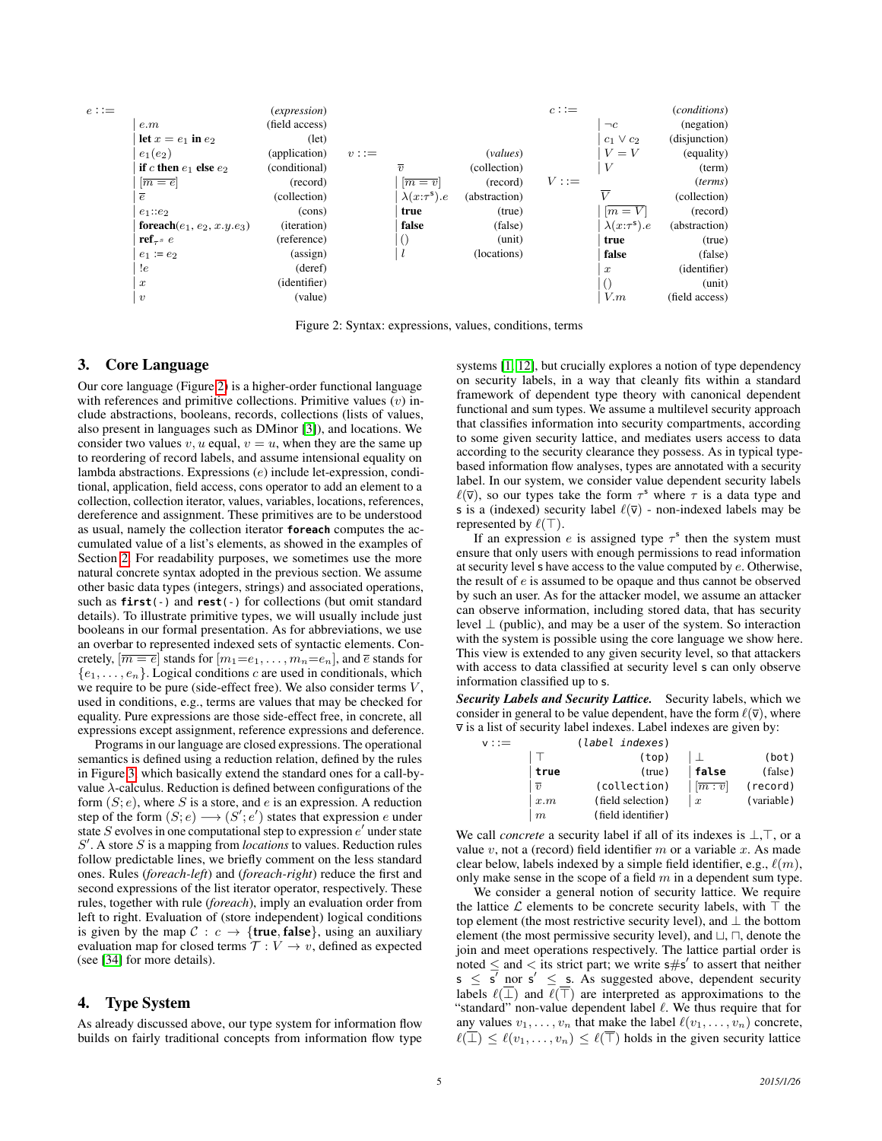<span id="page-4-1"></span>

Figure 2: Syntax: expressions, values, conditions, terms

## <span id="page-4-0"></span>3. Core Language

Our core language (Figure [2\)](#page-4-1) is a higher-order functional language with references and primitive collections. Primitive values  $(v)$  include abstractions, booleans, records, collections (lists of values, also present in languages such as DMinor [\[3\]](#page-11-6)), and locations. We consider two values  $v, u$  equal,  $v = u$ , when they are the same up to reordering of record labels, and assume intensional equality on lambda abstractions. Expressions (e) include let-expression, conditional, application, field access, cons operator to add an element to a collection, collection iterator, values, variables, locations, references, dereference and assignment. These primitives are to be understood as usual, namely the collection iterator **foreach** computes the accumulated value of a list's elements, as showed in the examples of Section [2.](#page-1-0) For readability purposes, we sometimes use the more natural concrete syntax adopted in the previous section. We assume other basic data types (integers, strings) and associated operations, such as **first**(-) and **rest**(-) for collections (but omit standard details). To illustrate primitive types, we will usually include just booleans in our formal presentation. As for abbreviations, we use an overbar to represented indexed sets of syntactic elements. Concretely,  $[\overline{m=e}]$  stands for  $[m_1=e_1,\ldots,m_n=e_n]$ , and  $\overline{e}$  stands for  ${e_1, \ldots, e_n}$ . Logical conditions c are used in conditionals, which we require to be pure (side-effect free). We also consider terms  $V$ , used in conditions, e.g., terms are values that may be checked for equality. Pure expressions are those side-effect free, in concrete, all expressions except assignment, reference expressions and deference.

Programs in our language are closed expressions. The operational semantics is defined using a reduction relation, defined by the rules in Figure [3,](#page-5-0) which basically extend the standard ones for a call-byvalue  $\lambda$ -calculus. Reduction is defined between configurations of the form  $(S; e)$ , where S is a store, and e is an expression. A reduction step of the form  $(S; e) \longrightarrow (S'; e')$  states that expression e under state  $S$  evolves in one computational step to expression  $e'$  under state S'. A store S is a mapping from *locations* to values. Reduction rules follow predictable lines, we briefly comment on the less standard ones. Rules (*foreach-left*) and (*foreach-right*) reduce the first and second expressions of the list iterator operator, respectively. These rules, together with rule (*foreach*), imply an evaluation order from left to right. Evaluation of (store independent) logical conditions is given by the map  $C : c \rightarrow \{true, false\}$ , using an auxiliary evaluation map for closed terms  $\mathcal{T}: V \to v$ , defined as expected (see [\[34\]](#page-11-8) for more details).

## 4. Type System

As already discussed above, our type system for information flow builds on fairly traditional concepts from information flow type systems [\[1,](#page-11-0) [12\]](#page-11-3), but crucially explores a notion of type dependency on security labels, in a way that cleanly fits within a standard framework of dependent type theory with canonical dependent functional and sum types. We assume a multilevel security approach that classifies information into security compartments, according to some given security lattice, and mediates users access to data according to the security clearance they possess. As in typical typebased information flow analyses, types are annotated with a security label. In our system, we consider value dependent security labels  $\ell(\bar{v})$ , so our types take the form  $\tau^s$  where  $\tau$  is a data type and s is a (indexed) security label  $\ell(\bar{v})$  - non-indexed labels may be represented by  $\ell(\top)$ .

If an expression e is assigned type  $\tau^s$  then the system must ensure that only users with enough permissions to read information at security level s have access to the value computed by e. Otherwise, the result of e is assumed to be opaque and thus cannot be observed by such an user. As for the attacker model, we assume an attacker can observe information, including stored data, that has security level  $\perp$  (public), and may be a user of the system. So interaction with the system is possible using the core language we show here. This view is extended to any given security level, so that attackers with access to data classified at security level s can only observe information classified up to s.

*Security Labels and Security Lattice.* Security labels, which we consider in general to be value dependent, have the form  $\ell(\bar{v})$ , where  $\overline{v}$  is a list of security label indexes. Label indexes are given by:

| $v :=$ |                  | (label indexes)    |                               |            |
|--------|------------------|--------------------|-------------------------------|------------|
|        |                  | (top)              |                               | (bot)      |
|        | true             | (true)             | false                         | (false)    |
|        | $\overline{v}$   | (collection)       | $\left[\overline{m:v}\right]$ | (record)   |
|        | x.m              | (field selection)  | $\boldsymbol{x}$              | (variable) |
|        | $\boldsymbol{m}$ | (field identifier) |                               |            |

We call *concrete* a security label if all of its indexes is  $\bot$ ,  $\top$ , or a value  $v$ , not a (record) field identifier  $m$  or a variable  $x$ . As made clear below, labels indexed by a simple field identifier, e.g.,  $\ell(m)$ , only make sense in the scope of a field  $m$  in a dependent sum type.

We consider a general notion of security lattice. We require the lattice  $\mathcal L$  elements to be concrete security labels, with  $\top$  the top element (the most restrictive security level), and ⊥ the bottom element (the most permissive security level), and  $\sqcup$ ,  $\sqcap$ , denote the join and meet operations respectively. The lattice partial order is noted  $\leq$  and  $\lt$  its strict part; we write s#s' to assert that neither  $s \leq \overline{s'}$  nor  $s' \leq s$ . As suggested above, dependent security labels  $\ell(\perp)$  and  $\ell(\top)$  are interpreted as approximations to the "standard" non-value dependent label  $\ell$ . We thus require that for any values  $v_1, \ldots, v_n$  that make the label  $\ell(v_1, \ldots, v_n)$  concrete,  $\ell(\overline{\perp}) \leq \ell(v_1, \ldots, v_n) \leq \ell(\overline{\perp})$  holds in the given security lattice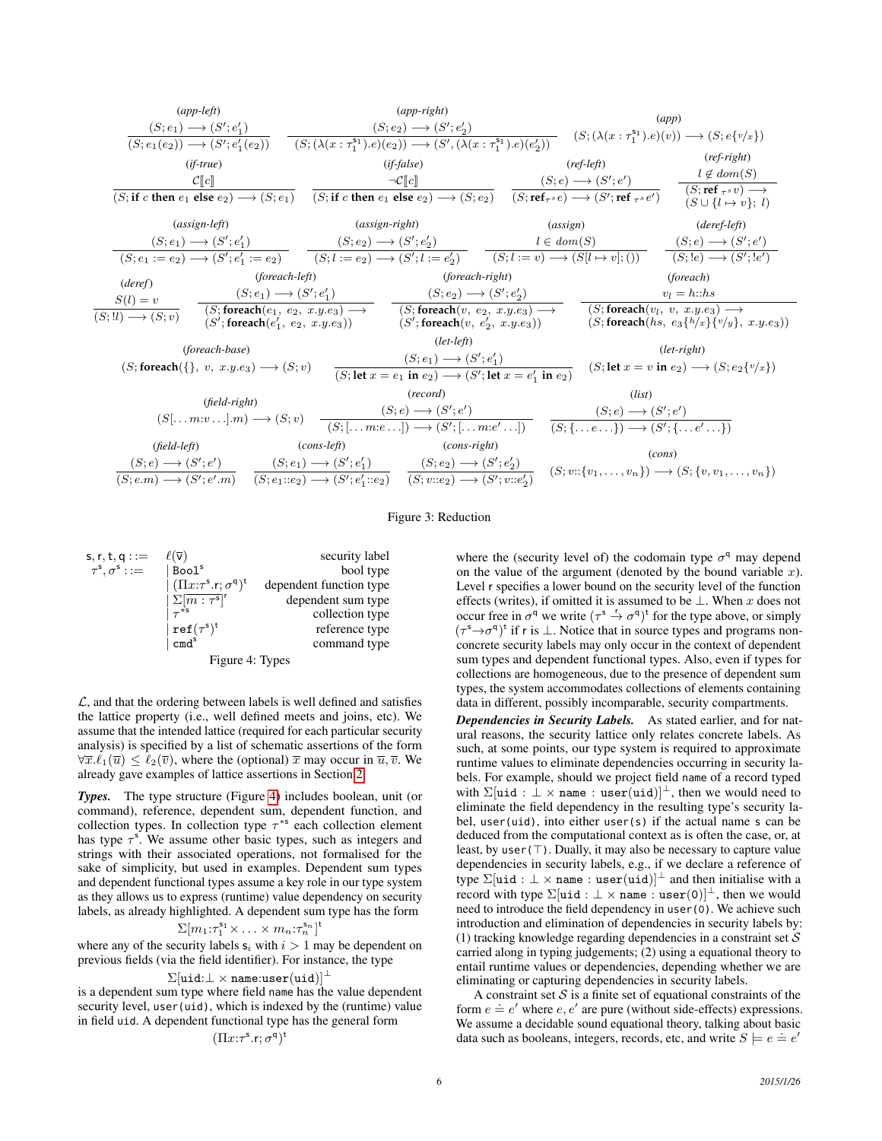<span id="page-5-0"></span>(*app-left*) (S; e1) −→ (S 0 ; e 0 1 ) (S; e1(e2)) −→ (S<sup>0</sup> ; e 0 1 (e2)) (*app-right*) (S; e2) −→ (S 0 ; e 0 2 ) (S; (λ(x : τ s1 1 ).e)(e2)) −→ (S 0 , (λ(x : τ s1 1 ).e)(e 0 2 )) (*app*) (S; (λ(x : τ s1 1 ).e)(v)) −→ (S; e{v/x}) (*if-true*) <sup>C</sup>Jc<sup>K</sup> (S; **if** c **then** e<sup>1</sup> **else** e2) −→ (S; e1) (*if-false*) ¬CJc<sup>K</sup> (S; **if** c **then** e<sup>1</sup> **else** e2) −→ (S; e2) (*ref-left*) (S; e) −→ (S 0 ; e 0 ) (S;**ref**τ<sup>s</sup> e) −→ (S<sup>0</sup> ;**ref** <sup>τ</sup><sup>s</sup> e 0) (*ref-right*) l 6∈ dom(S) (S;**ref** <sup>τ</sup><sup>s</sup> v) −→ (S ∪ {l 7→ v}; l) (*assign-left*) (S; e1) −→ (S 0 ; e 0 1 ) (S; e<sup>1</sup> := e2) −→ (S 0 ; e 0 1 := e2) (*assign-right*) (S; e2) −→ (S 0 ; e 0 2 ) (S; l := e2) −→ (S 0 ; l := e 0 2 ) (*assign*) l ∈ dom(S) (S; l := v) −→ (S[l 7→ v]; ()) (*deref-left*) (S; e) −→ (S 0 ; e 0 ) (S; !e) −→ (S 0 ; !e 0 ) (*deref*) S(l) = v (S; !l) −→ (S; v) (*foreach-left*) (S; e1) −→ (S 0 ; e 0 1 ) (S;**foreach**(e1, e2, x.y.e3) −→ (S 0 ;**foreach**(e 0 1 , e2, x.y.e3)) (*foreach-right*) (S; e2) −→ (S 0 ; e 0 2 ) (S;**foreach**(v, e2, x.y.e3) −→ (S 0 ;**foreach**(v, e<sup>0</sup> 2 , x.y.e3)) (*foreach*) v<sup>l</sup> = h::hs (S;**foreach**(v<sup>l</sup> , v, x.y.e3) −→ (S;**foreach**(hs, e3{h/x}{v/y}, x.y.e3)) (*foreach-base*) (S;**foreach**({}, v, x.y.e3) −→ (S; v) (*let-left*) (S; e1) −→ (S 0 ; e 0 1 ) (S; **let** x = e<sup>1</sup> **in** e2) −→ (S<sup>0</sup> ; **let** x = e 0 1 **in** e2) (*let-right*) (S; **let** x = v **in** e2) −→ (S; e2{v/x}) (*field-right*) (S[. . . m:v . . .].m) −→ (S; v) (*record*) (S; e) −→ (S 0 ; e 0 ) (S; [. . . m:e . . .]) −→ (S 0 ; [. . . m:e 0 . . .]) (*list*) (S; e) −→ (S 0 ; e 0 ) (S; {. . . e . . .}) −→ (S<sup>0</sup> ; {. . . e<sup>0</sup> . . .}) (*field-left*) (S; e) −→ (S 0 ; e 0 ) (S; e.m) −→ (S<sup>0</sup> ; e 0 .m) (*cons-left*) (S; e1) −→ (S 0 ; e 0 1 ) (S; e1::e2) −→ (S<sup>0</sup> ; e 0 1 ::e2) (*cons-right*) (S; e2) −→ (S 0 ; e 0 2 ) (S; v::e2) −→ (S<sup>0</sup> ; v::e 0 2 ) (*cons*) (S; v::{v1, . . . , vn}) −→ (S; {v, v1, . . . , vn})

#### Figure 3: Reduction

<span id="page-5-1"></span>

| $s, r, t, q ::=$                                 | $\ell(\overline{\mathsf{v}})$       | security label          |  |
|--------------------------------------------------|-------------------------------------|-------------------------|--|
| $\tau^{\mathsf{s}}$ , $\sigma^{\mathsf{s}}$ : := | $ $ Bool $^{\mathrm{s}}$            | bool type               |  |
|                                                  | $(\Pi x:\tau^s.r;\sigma^q)^t$       | dependent function type |  |
|                                                  | $\sum [m:\tau^s]^r$                 | dependent sum type      |  |
|                                                  |                                     | collection type         |  |
|                                                  | $ref(\tau^s)^t$<br>cmd <sup>s</sup> | reference type          |  |
|                                                  |                                     | command type            |  |
| Figure 4: Types                                  |                                     |                         |  |

 $\mathcal{L}$ , and that the ordering between labels is well defined and satisfies the lattice property (i.e., well defined meets and joins, etc). We assume that the intended lattice (required for each particular security analysis) is specified by a list of schematic assertions of the form  $\forall \overline{x}.\ell_1(\overline{u}) \leq \ell_2(\overline{v})$ , where the (optional)  $\overline{x}$  may occur in  $\overline{u}, \overline{v}$ . We already gave examples of lattice assertions in Section [2.](#page-1-0)

*Types.* The type structure (Figure [4\)](#page-5-1) includes boolean, unit (or command), reference, dependent sum, dependent function, and collection types. In collection type  $\tau^{*s}$  each collection element has type  $\tau^s$ . We assume other basic types, such as integers and strings with their associated operations, not formalised for the sake of simplicity, but used in examples. Dependent sum types and dependent functional types assume a key role in our type system as they allows us to express (runtime) value dependency on security labels, as already highlighted. A dependent sum type has the form

$$
\Sigma[m_1:\tau_1^{\mathsf{s}_1}\times\ldots\times m_n:\tau_n^{\mathsf{s}_n}]^{\mathsf{t}}
$$

where any of the security labels  $s_i$  with  $i > 1$  may be dependent on previous fields (via the field identifier). For instance, the type

#### $\Sigma[\texttt{uid}:\bot \times \texttt{name}:\texttt{user}(\texttt{uid})]^\bot$

is a dependent sum type where field name has the value dependent security level, user(uid), which is indexed by the (runtime) value in field uid. A dependent functional type has the general form

$$
(\Pi x{:}\tau^{\rm s}.{\rm r};\sigma^{\rm q})^{\rm t}
$$

where the (security level of) the codomain type  $\sigma$ <sup>q</sup> may depend on the value of the argument (denoted by the bound variable  $x$ ). Level r specifies a lower bound on the security level of the function effects (writes), if omitted it is assumed to be ⊥. When x does not occur free in  $\sigma^q$  we write  $(\tau^s \overset{r}{\rightarrow} \sigma^q)^t$  for the type above, or simply  $(\tau^s \rightarrow \sigma^q)$ <sup>t</sup> if r is  $\perp$ . Notice that in source types and programs nonconcrete security labels may only occur in the context of dependent sum types and dependent functional types. Also, even if types for collections are homogeneous, due to the presence of dependent sum types, the system accommodates collections of elements containing data in different, possibly incomparable, security compartments.

*Dependencies in Security Labels.* As stated earlier, and for natural reasons, the security lattice only relates concrete labels. As such, at some points, our type system is required to approximate runtime values to eliminate dependencies occurring in security labels. For example, should we project field name of a record typed with  $\Sigma[\texttt{uid} : \bot \times \texttt{name} : \texttt{user}(\texttt{uid})]^\bot$ , then we would need to eliminate the field dependency in the resulting type's security label, user(uid), into either user(s) if the actual name s can be deduced from the computational context as is often the case, or, at least, by user( $\top$ ). Dually, it may also be necessary to capture value dependencies in security labels, e.g., if we declare a reference of type  $\Sigma[\text{uid}: \bot \times \text{name}: \text{user}(\text{uid})]^\bot$  and then initialise with a record with type  $\Sigma[\texttt{uid} : \bot \times \texttt{name} : \texttt{user}(0)]^{\bot}$ , then we would need to introduce the field dependency in user(0). We achieve such introduction and elimination of dependencies in security labels by: (1) tracking knowledge regarding dependencies in a constraint set  $S$ carried along in typing judgements; (2) using a equational theory to entail runtime values or dependencies, depending whether we are eliminating or capturing dependencies in security labels.

A constraint set  $S$  is a finite set of equational constraints of the A constraint set *O* is a ninte set of equational constraints of the form  $e \doteq e'$  where  $e, e'$  are pure (without side-effects) expressions. We assume a decidable sound equational theory, talking about basic data such as booleans, integers, records, etc, and write  $S \models e \models e'$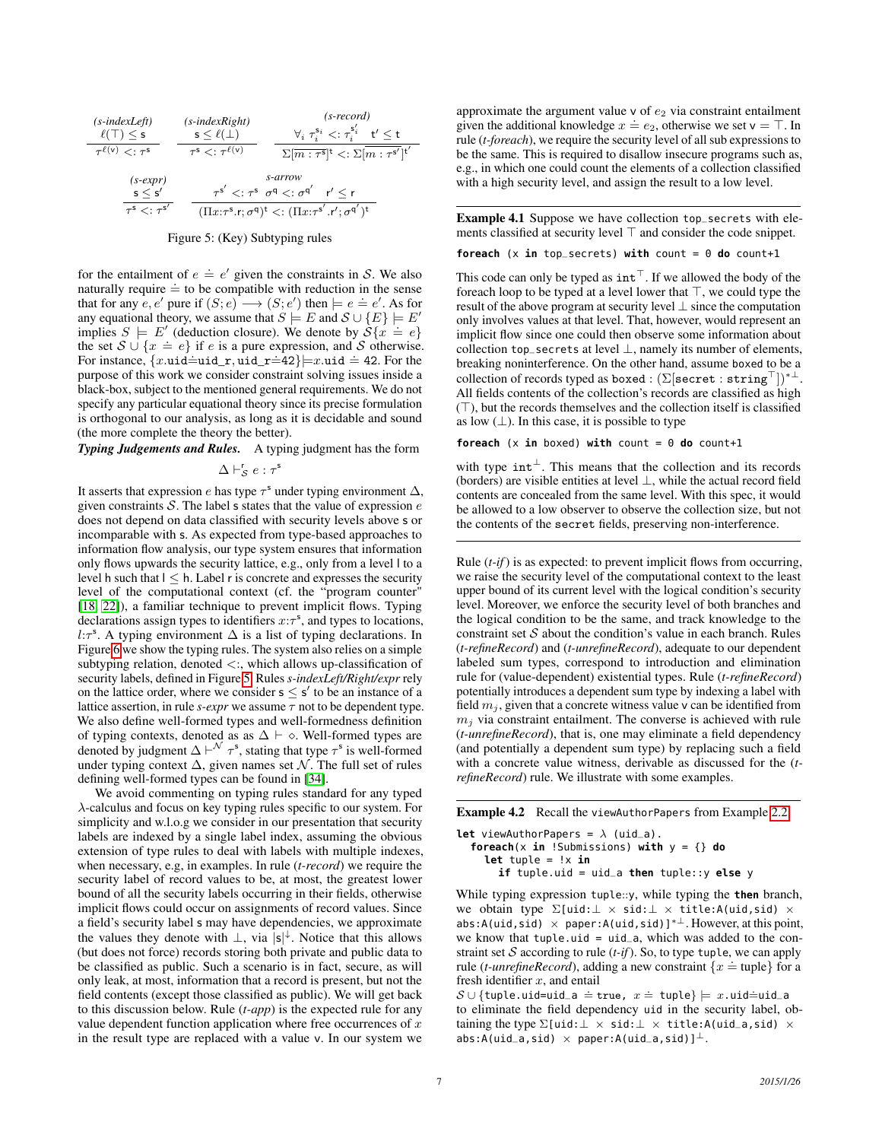<span id="page-6-0"></span>
$$
\begin{array}{ccc}\n(s\text{-}indexLeft) & (s\text{-}indexRight) & (s\text{-}record) \\
\ell(T) \le s & s \le \ell(\bot) & \forall_i \ \tau_i^{s_i} <: \tau_i^{s_i'} \ t' \le t \\
\tau^{\ell(v)} <: \tau^s & \tau^s <: \tau^{\ell(v)} & \sum[m: \tau^s]^t <: \sum[m: \tau^{s'}]^t'\n\end{array}
$$
\n
$$
\begin{array}{ccc}\n(s\text{-}expr) & s\text{-}arrow \\
s \le s' & \tau^s <: \tau^s & \sigma^q <: \sigma^{q'} & \tau' \le r \\
\hline\n\tau^s <: \tau^{s'} & (\Pi x: \tau^s \cdot r; \sigma^q)^t <: (\Pi x: \tau^{s'} \cdot r'; \sigma^{q'})^t\n\end{array}
$$



for the entailment of  $e \doteq e'$  given the constraints in S. We also naturally require  $\dot{=}$  to be compatible with reduction in the sense that for any  $e, e'$  pure if  $(S; e) \longrightarrow (S; e')$  then  $\models e \doteq e'.$  As for any equational theory, we assume that  $S \models E$  and  $S \cup \{E\} \models E'$ implies  $S \models E'$  (deduction closure). We denote by  $S\{x \stackrel{\doteq}{=} e\}$ the set  $S \cup \{x = e\}$  if e is a pure expression, and S otherwise. For instance,  $\{x.\texttt{uid=uid_r}, \texttt{uid_r=42}\}$  = x.uid = 42. For the purpose of this work we consider constraint solving issues inside a black-box, subject to the mentioned general requirements. We do not specify any particular equational theory since its precise formulation is orthogonal to our analysis, as long as it is decidable and sound (the more complete the theory the better).

*Typing Judgements and Rules.* A typing judgment has the form

 $\Delta \vdash_{\mathcal{S}}^{\mathsf{r}} e : \tau^{\mathsf{s}}$ 

It asserts that expression e has type  $\tau^s$  under typing environment  $\Delta$ , given constraints  $S$ . The label s states that the value of expression  $e$ does not depend on data classified with security levels above s or incomparable with s. As expected from type-based approaches to information flow analysis, our type system ensures that information only flows upwards the security lattice, e.g., only from a level l to a level h such that  $l \leq h$ . Label r is concrete and expresses the security level of the computational context (cf. the "program counter" [\[18,](#page-11-9) [22\]](#page-11-10)), a familiar technique to prevent implicit flows. Typing declarations assign types to identifiers  $x:\tau^s$ , and types to locations,  $l:\tau^s$ . A typing environment  $\Delta$  is a list of typing declarations. In Figure [6](#page-7-1) we show the typing rules. The system also relies on a simple subtyping relation, denoted  $\lt$ :, which allows up-classification of security labels, defined in Figure [5.](#page-6-0) Rules *s-indexLeft/Right/expr* rely on the lattice order, where we consider  $s \leq s'$  to be an instance of a lattice assertion, in rule  $s\text{-}expr$  we assume  $\tau$  not to be dependent type. We also define well-formed types and well-formedness definition of typing contexts, denoted as as  $\Delta \vdash \diamond$ . Well-formed types are denoted by judgment  $\Delta \vdash^{\mathcal{N}} \tau^s$ , stating that type  $\tau^s$  is well-formed under typing context  $\Delta$ , given names set  $\mathcal N$ . The full set of rules defining well-formed types can be found in [\[34\]](#page-11-8).

We avoid commenting on typing rules standard for any typed λ-calculus and focus on key typing rules specific to our system. For simplicity and w.l.o.g we consider in our presentation that security labels are indexed by a single label index, assuming the obvious extension of type rules to deal with labels with multiple indexes, when necessary, e.g, in examples. In rule (*t-record*) we require the security label of record values to be, at most, the greatest lower bound of all the security labels occurring in their fields, otherwise implicit flows could occur on assignments of record values. Since a field's security label s may have dependencies, we approximate the values they denote with  $\perp$ , via  $\frac{1}{s}$ . Notice that this allows (but does not force) records storing both private and public data to be classified as public. Such a scenario is in fact, secure, as will only leak, at most, information that a record is present, but not the field contents (except those classified as public). We will get back to this discussion below. Rule (*t-app*) is the expected rule for any value dependent function application where free occurrences of  $x$ in the result type are replaced with a value v. In our system we

approximate the argument value  $v$  of  $e_2$  via constraint entailment approximate the argument value v or  $\epsilon_2$  via constraint entailment<br>given the additional knowledge  $x = e_2$ , otherwise we set  $v = T$ . In rule (*t-foreach*), we require the security level of all sub expressions to be the same. This is required to disallow insecure programs such as, e.g., in which one could count the elements of a collection classified with a high security level, and assign the result to a low level.

Example 4.1 Suppose we have collection top\_secrets with elements classified at security level  $\top$  and consider the code snippet.

**foreach** (x **in** top\_secrets) **with** count = 0 **do** count+1

This code can only be typed as  $int<sup>T</sup>$ . If we allowed the body of the foreach loop to be typed at a level lower that  $\top$ , we could type the result of the above program at security level ⊥ since the computation only involves values at that level. That, however, would represent an implicit flow since one could then observe some information about collection top\_secrets at level  $\perp$ , namely its number of elements, breaking noninterference. On the other hand, assume boxed to be a collection of records typed as boxed :  $(\Sigma | \text{secret}: \text{string}^{\top}|)^{*\perp}.$ All fields contents of the collection's records are classified as high  $(T)$ , but the records themselves and the collection itself is classified as low  $(\perp)$ . In this case, it is possible to type

#### **foreach**  $(x \textbf{in} boxed) with count = 0 do count+1$

with type  $int<sup>⊥</sup>$ . This means that the collection and its records (borders) are visible entities at level ⊥, while the actual record field contents are concealed from the same level. With this spec, it would be allowed to a low observer to observe the collection size, but not the contents of the secret fields, preserving non-interference.

Rule (*t-if*) is as expected: to prevent implicit flows from occurring, we raise the security level of the computational context to the least upper bound of its current level with the logical condition's security level. Moreover, we enforce the security level of both branches and the logical condition to be the same, and track knowledge to the constraint set  $S$  about the condition's value in each branch. Rules (*t-refineRecord*) and (*t-unrefineRecord*), adequate to our dependent labeled sum types, correspond to introduction and elimination rule for (value-dependent) existential types. Rule (*t-refineRecord*) potentially introduces a dependent sum type by indexing a label with field  $m_j$ , given that a concrete witness value v can be identified from  $m_i$  via constraint entailment. The converse is achieved with rule (*t-unrefineRecord*), that is, one may eliminate a field dependency (and potentially a dependent sum type) by replacing such a field with a concrete value witness, derivable as discussed for the (*trefineRecord*) rule. We illustrate with some examples.

Example 4.2 Recall the viewAuthorPapers from Example [2.2,](#page-1-1)

**let** viewAuthorPapers =  $\lambda$  (uid\_a). **foreach**(x **in** !Submissions) **with** y = {} **do let** tuple = !x **in if** tuple.uid = uid\_a **then** tuple::y **else** y

While typing expression tuple::y, while typing the **then** branch, we obtain type Σ[uid:⊥ × sid:⊥ × title:A(uid,sid) × abs:A(uid,sid) × paper:A(uid,sid)]<sup>\* $\perp$ </sup>. However, at this point, we know that tuple.uid = uid\_a, which was added to the constraint set  $S$  according to rule  $(t\text{-}if)$ . So, to type tuple, we can apply straint set  $\sigma$  according to full  $(r - y)$ . So, to type tuple, we can apply<br>rule (*t-unrefineRecord*), adding a new constraint  $\{x = \text{tuple}\}\$ for a fresh identifier  $x$ , and entail

 $\mathcal{S} \cup \{\texttt{tuple}.\texttt{uid}= \texttt{uid} = \texttt{true}, \ x \texttt{= tuple}\} \models x.\texttt{uid} \texttt{=uid} \texttt{=a}$ to eliminate the field dependency uid in the security label, obtaining the type  $\Sigma$ [uid: $\bot \times$  sid: $\bot \times$  title:A(uid\_a,sid)  $\times$ abs:A(uid\_a,sid)  $\times$  paper:A(uid\_a,sid)] $^{\perp}$ .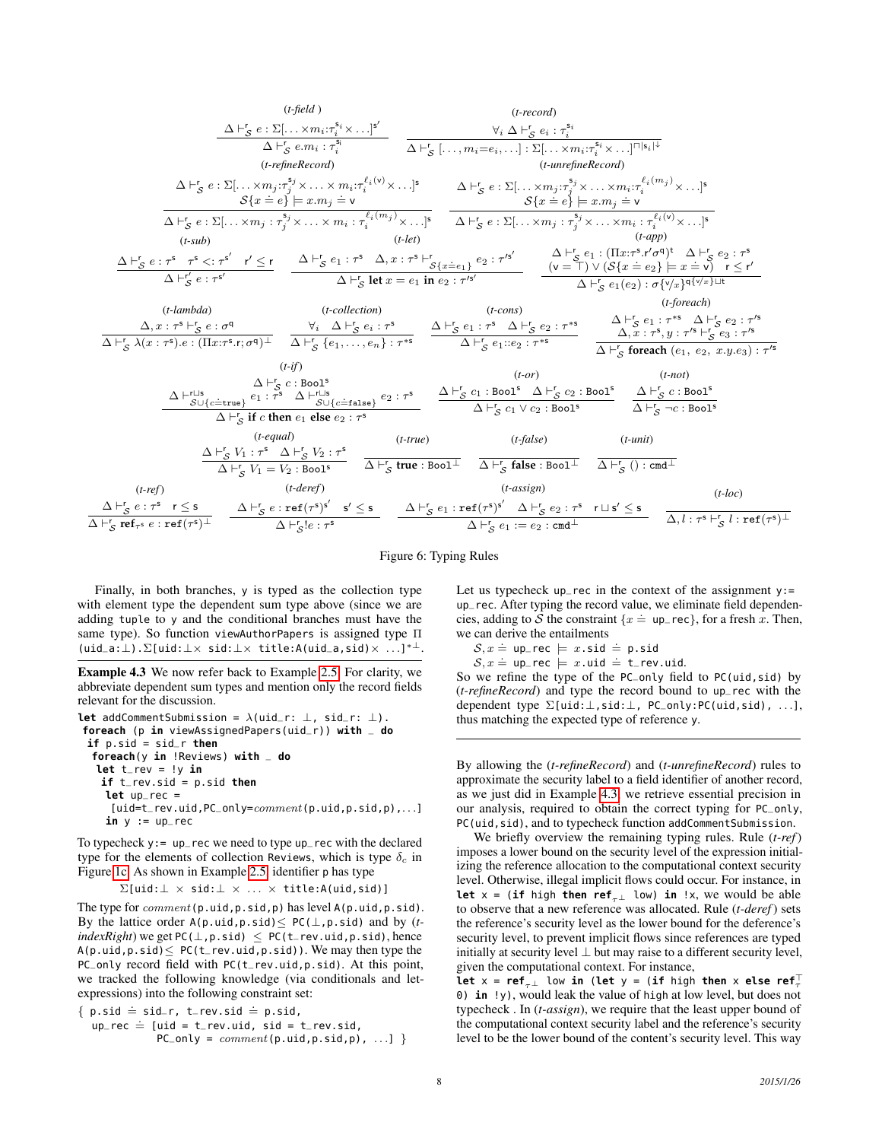<span id="page-7-1"></span>
$$
\frac{\Delta F_S \ e : \Sigma[\ldots, x_{m_i}; \tau_i^{s_i} \times \ldots]^{s'}}{\Delta F_S \ c : \Sigma[\ldots, x_{m_i}; \tau_i^{s_i} \times \ldots]^{s'}} \frac{\Delta F_S \ e : \Sigma[\ldots, x_{m_i}; \tau_i^{s_i} \times \ldots]^{s'}}{\Delta F_S \ c : \Sigma[\ldots, x_{m_i}; \tau_i^{s_i} \times \ldots]^{s}} \frac{\Delta F_S \ e : \Sigma[\ldots, x_{m_i}; \tau_i^{s_i} \times \ldots]^{s}}{\Delta F_S \ c : \Sigma[\ldots, x_{m_i}; \tau_i^{s_i} \times \ldots \times m_i; \tau_i^{s_i} \times \ldots]^{s}} \frac{\Delta F_S \ c : \Sigma[\ldots, x_{m_i}; \tau_i^{s_i} \times \ldots \times m_i; \tau_i^{s_i} \times \ldots]^{s}}{\Delta F_S \ c : \Sigma[\ldots, x_{m_i}; \tau_i^{s_i} \times \ldots \times m_i; \tau_i^{s_i} \times \ldots \times m_i; \tau_i^{s_i} \times \ldots \times m_i; \tau_i^{s_i} \times \ldots \times m_i; \tau_i^{s_i} \times \ldots \times m_i; \tau_i^{s_i} \times \ldots \times m_i; \tau_i^{s_i} \times \ldots \times m_i; \tau_i^{s_i} \times \ldots \times m_i; \tau_i^{s_i} \times \ldots \times m_i; \tau_i^{s_i} \times \ldots \times m_i; \tau_i^{s_i} \times \ldots \times m_i; \tau_i^{s_i} \times \ldots \times m_i; \tau_i^{s_i} \times \ldots \times m_i; \tau_i^{s_i} \times \ldots \times m_i; \tau_i^{s_i} \times \ldots \times m_i; \tau_i^{s_i} \times \ldots \times m_i; \tau_i^{s_i} \times \ldots \times m_i; \tau_i^{s_i} \times \ldots \times m_i; \tau_i^{s_i} \times \ldots \times m_i; \tau_i^{s_i} \times \ldots \times m_i; \tau_i^{s_i} \times \ldots \times m_i; \tau_i^{s_i} \times \ldots \times m_i; \tau_i^{s_i} \times \ldots \times m_i; \tau_i^{s_i} \times \ldots \times m_i; \tau_i^{s_i} \times \ldots \times m_i; \tau_i^{s_i} \times \ldots \times m_i; \tau_i^{s_i} \times \ldots \times m_i; \tau_i
$$

Figure 6: Typing Rules

Finally, in both branches, y is typed as the collection type with element type the dependent sum type above (since we are adding tuple to y and the conditional branches must have the same type). So function viewAuthorPapers is assigned type Π  $(\texttt{uid}_a:\bot).\Sigma[\texttt{uid}:\bot\times \texttt{ sid}:\bot\times \texttt{title}:A(\texttt{uid}_a,\texttt{sid})\times \ldots]^{*\bot}.$ 

<span id="page-7-0"></span>Example 4.3 We now refer back to Example [2.5.](#page-3-0) For clarity, we abbreviate dependent sum types and mention only the record fields relevant for the discussion.

**let** addCommentSubmission =  $\lambda$ (uid\_r:  $\perp$ , sid\_r:  $\perp$ ). **foreach** (p **in** viewAssignedPapers(uid\_r)) **with** \_ **do if** p.sid = sid\_r **then foreach**(y **in** !Reviews) **with** \_ **do let** t\_rev = !y **in if** t\_rev.sid = p.sid **then let** up\_rec = [uid=t\_rev.uid, PC\_only= $comment(p.util,p.sid,p),...]$  $in y := up\_rec$ 

To typecheck  $y := up$  rec we need to type  $up$  rec with the declared type for the elements of collection Reviews, which is type  $\delta_c$  in Figure [1c.](#page-2-0) As shown in Example [2.5,](#page-3-0) identifier p has type

$$
\Sigma
$$
[uid:  $\bot \times \text{sid}: \bot \times ... \times \text{title}:A(\text{uid}, \text{sid})$ ]

The type for  $comment(p.util.p.sid,p)$  has level  $A(p.util.p.sid)$ . By the lattice order  $A(p.util, p.sid) \le PC(\bot, p.sid)$  and by  $(t$  $indexRight)$  we get  $PC(\perp, p.sid) \le PC(t_{rev}.uid, p.sid)$ , hence  $A(p.uid, p.sid) \le PC(t_{rev}.uid, p.sid)$ . We may then type the PC\_only record field with PC(t\_rev.uid,p.sid). At this point, we tracked the following knowledge (via conditionals and letexpressions) into the following constraint set:

 $\{ p.sid = sid_r, t_rev.sid = p.sid,$ up\_rec .<sup>=</sup> [uid = t\_rev.uid, sid = t\_rev.sid,

 $PC\_only = comment(p.uid,p.sid,p), ...]$ 

Let us typecheck up\_rec in the context of the assignment  $y :=$ up\_rec. After typing the record value, we eliminate field dependencies, adding to S the constraint  $\{x = \text{up\_rec}\}\)$ , for a fresh x. Then, we can derive the entailments

 $S, x \doteq$  up\_rec  $\models x \cdot \text{sid} = \text{p} \cdot \text{sid}$ 

 $S, x \doteq \text{up\_rec} \models x \cdot \text{uid} \doteq \text{t\_rev} \cdot \text{uid}.$ 

So we refine the type of the PC\_only field to PC(uid,sid) by (*t-refineRecord*) and type the record bound to up\_rec with the dependent type Σ[uid:⊥,sid:⊥, PC\_only:PC(uid,sid), . . .], thus matching the expected type of reference y.

By allowing the (*t-refineRecord*) and (*t-unrefineRecord*) rules to approximate the security label to a field identifier of another record, as we just did in Example [4.3,](#page-7-0) we retrieve essential precision in our analysis, required to obtain the correct typing for PC\_only, PC(uid, sid), and to typecheck function addCommentSubmission.

We briefly overview the remaining typing rules. Rule (*t-ref*) imposes a lower bound on the security level of the expression initializing the reference allocation to the computational context security level. Otherwise, illegal implicit flows could occur. For instance, in **let** x = (**if** high **then ref**<sub> $τ$ </sub> low) **in** !x, we would be able to observe that a new reference was allocated. Rule (*t-deref*) sets the reference's security level as the lower bound for the deference's security level, to prevent implicit flows since references are typed initially at security level ⊥ but may raise to a different security level, given the computational context. For instance,

**let**  $x = \mathbf{ref}_{\tau^{\perp}}$  low **in** (let  $y = (\mathbf{if} \text{ high then } x \text{ else } \mathbf{ref}_{\tau}^{\top})$ 0) **in** !y), would leak the value of high at low level, but does not typecheck . In (*t-assign*), we require that the least upper bound of the computational context security label and the reference's security level to be the lower bound of the content's security level. This way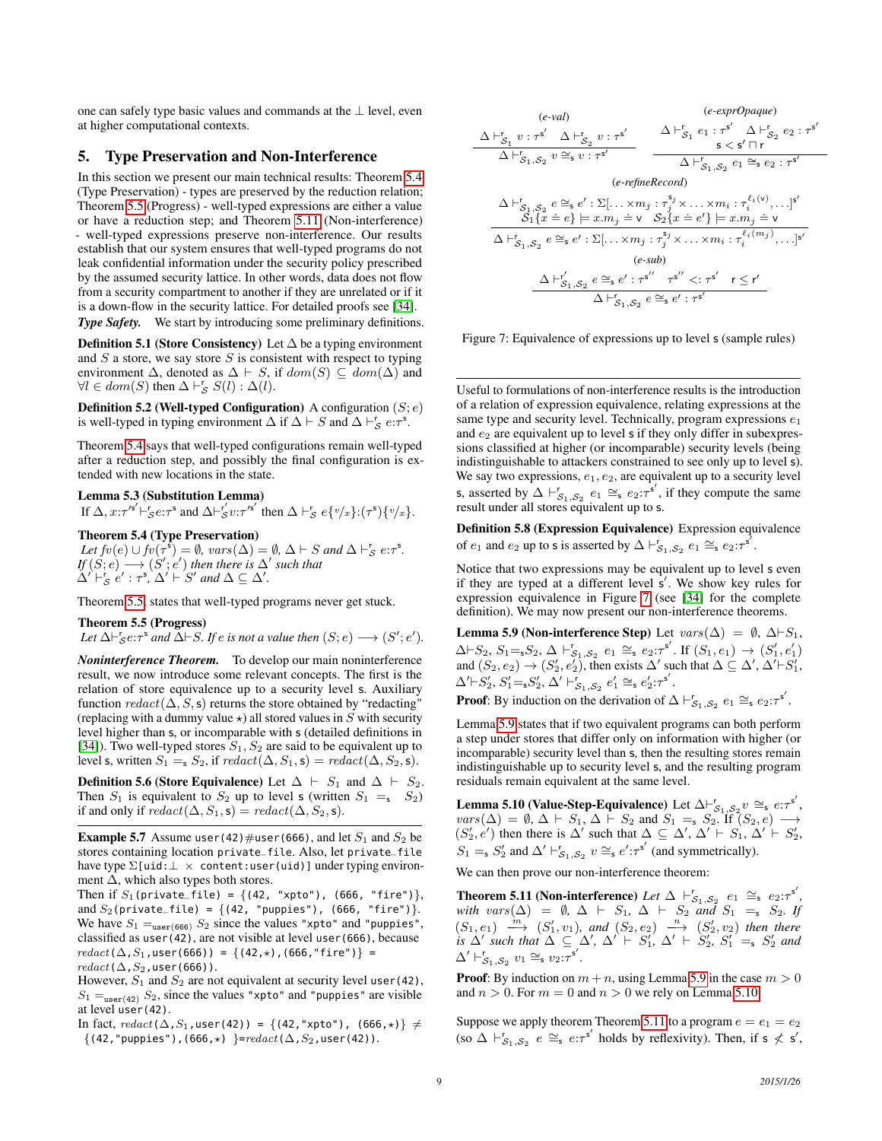one can safely type basic values and commands at the ⊥ level, even at higher computational contexts.

# <span id="page-8-3"></span>5. Type Preservation and Non-Interference

In this section we present our main technical results: Theorem [5.4](#page-8-0) (Type Preservation) - types are preserved by the reduction relation; Theorem [5.5](#page-8-1) (Progress) - well-typed expressions are either a value or have a reduction step; and Theorem [5.11](#page-8-2) (Non-interference) - well-typed expressions preserve non-interference. Our results establish that our system ensures that well-typed programs do not leak confidential information under the security policy prescribed by the assumed security lattice. In other words, data does not flow from a security compartment to another if they are unrelated or if it is a down-flow in the security lattice. For detailed proofs see [\[34\]](#page-11-8). *Type Safety.* We start by introducing some preliminary definitions.

**Definition 5.1 (Store Consistency)** Let  $\Delta$  be a typing environment and  $S$  a store, we say store  $S$  is consistent with respect to typing environment  $\Delta$ , denoted as  $\Delta \vdash S$ , if  $dom(S) \subseteq dom(\Delta)$  and  $\forall l \in dom(S)$  then  $\Delta \vdash_S^r S(l) : \Delta(l)$ .

**Definition 5.2 (Well-typed Configuration)** A configuration  $(S; e)$ is well-typed in typing environment  $\Delta$  if  $\Delta \vdash S$  and  $\Delta \vdash_S^r e:\tau^s$ .

Theorem [5.4](#page-8-0) says that well-typed configurations remain well-typed after a reduction step, and possibly the final configuration is extended with new locations in the state.

# Lemma 5.3 (Substitution Lemma)

If  $\Delta$ ,  $x:\tau'^{s'} \vdash_S^r e:\tau^s$  and  $\Delta \vdash_S^{r'} v:\tau'^{s'}$  then  $\Delta \vdash_S^r e\{v/x\}:(\tau^s)\{v/x\}$ .

<span id="page-8-0"></span>Theorem 5.4 (Type Preservation)

Let  $f v(e) \cup f v(\tau^{\overline{s}}) = \emptyset$ ,  $vars(\Delta) = \emptyset$ ,  $\Delta \vdash S$  and  $\Delta \vdash_S^r e : \tau^{\overline{s}}$ .  $\mathit{If}(S;e) \longrightarrow (S';e')$  then there is  $\Delta'$  such that  $\Delta' \vdash_S^r e' : \tau^s, \Delta' \vdash S'$  and  $\Delta \subseteq \Delta'$ .

Theorem [5.5,](#page-8-1) states that well-typed programs never get stuck.

Theorem 5.5 (Progress)

Let  $\Delta \vdash_S^r e:\tau^s$  and  $\Delta \vdash S$ *. If* e is not a value then  $(S; e) \longrightarrow (S'; e').$ 

*Noninterference Theorem.* To develop our main noninterference result, we now introduce some relevant concepts. The first is the relation of store equivalence up to a security level s. Auxiliary function  $redact(\Delta, S, s)$  returns the store obtained by "redacting" (replacing with a dummy value  $\star$ ) all stored values in S with security level higher than s, or incomparable with s (detailed definitions in [\[34\]](#page-11-8)). Two well-typed stores  $S_1, S_2$  are said to be equivalent up to level s, written  $S_1 = S_2$ , if  $redact(\Delta, S_1, s) = redact(\Delta, S_2, s)$ .

**Definition 5.6 (Store Equivalence)** Let  $\Delta \vdash S_1$  and  $\Delta \vdash S_2$ . Then  $S_1$  is equivalent to  $S_2$  up to level s (written  $S_1 = S_2$ ) if and only if  $\text{redact}(\Delta, S_1, \mathsf{s}) = \text{redact}(\Delta, S_2, \mathsf{s}).$ 

**Example 5.7** Assume user(42)#user(666), and let  $S_1$  and  $S_2$  be stores containing location private\_file. Also, let private\_file have type  $\Sigma$ [uid: $\bot \times$  content:user(uid)] under typing environment  $\Delta$ , which also types both stores.

Then if  $S_1$ (private\_file) = {(42, "xpto"), (666, "fire")}, and  $S_2$ (private\_file) = {(42, "puppies"), (666, "fire")}. We have  $S_1 =_{user(666)} S_2$  since the values "xpto" and "puppies", classified as user(42), are not visible at level user(666), because  $redact(\Delta, S_1, user(666)) = \{(42, \star), (666, "fire")\} =$  $\text{redact}(\Delta, S_2, \text{user}(666))$ .

However,  $S_1$  and  $S_2$  are not equivalent at security level user(42),  $S_1 =_{user(42)} S_2$ , since the values "xpto" and "puppies" are visible at level user(42).

In fact,  $redact(\Delta, S_1, user(42)) = {(42, "xpto"), (666, ∗)} \neq$  $\{(42, "puppies"), (666,*)\} = redact(\Delta, S_2, user(42)).$ 

<span id="page-8-4"></span>

Figure 7: Equivalence of expressions up to level s (sample rules)

Useful to formulations of non-interference results is the introduction of a relation of expression equivalence, relating expressions at the same type and security level. Technically, program expressions  $e_1$ and  $e_2$  are equivalent up to level s if they only differ in subexpressions classified at higher (or incomparable) security levels (being indistinguishable to attackers constrained to see only up to level s). We say two expressions,  $e_1, e_2$ , are equivalent up to a security level s, asserted by  $\Delta \vdash_{\mathcal{S}_1, \mathcal{S}_2}^r e_1 \cong_{\mathsf{s}} e_2 : \tau^{\mathsf{s}'},$  if they compute the same result under all stores equivalent up to s.

Definition 5.8 (Expression Equivalence) Expression equivalence of  $e_1$  and  $e_2$  up to s is asserted by  $\Delta \vdash_{\mathcal{S}_1, \mathcal{S}_2}^r e_1 \cong_{\mathsf{s}} e_2 : \tau^{\mathsf{s}'}$ .

<span id="page-8-1"></span>Notice that two expressions may be equivalent up to level s even if they are typed at a different level s'. We show key rules for expression equivalence in Figure [7](#page-8-4) (see [\[34\]](#page-11-8) for the complete definition). We may now present our non-interference theorems.

<span id="page-8-5"></span>Lemma 5.9 (Non-interference Step) Let  $vars(\Delta) = \emptyset$ ,  $\Delta \vdash S_1$ ,  $\Delta \vdash S_2, S_1 = S_2, \Delta \vdash_{S_1, S_2}^r e_1 \cong_{\mathsf{s}} e_2: \tau^{\mathsf{s}'}.$  If  $(S_1, e_1) \to (S_1', e_1')$ and  $(S_2, e_2) \rightarrow (S'_2, e'_2)$ , then exists  $\Delta'$  such that  $\Delta \subseteq \Delta', \Delta' \vdash S'_1$ ,  $\Delta' \vdash S'_2, S'_1 = S'_2, \Delta' \vdash_{S_1, S_2}^r e'_1 \cong_{\mathsf{s}} e'_2 : \tau^{\mathsf{s}'}.$ 

**Proof:** By induction on the derivation of  $\Delta \vdash_{\mathcal{S}_1,\mathcal{S}_2}^r e_1 \cong_{\mathsf{s}} e_2:\tau^{\mathsf{s}'}$ .

Lemma [5.9](#page-8-5) states that if two equivalent programs can both perform a step under stores that differ only on information with higher (or incomparable) security level than s, then the resulting stores remain indistinguishable up to security level s, and the resulting program residuals remain equivalent at the same level.

<span id="page-8-6"></span>**Lemma 5.10 (Value-Step-Equivalence)** Let  $\Delta \vdash_{\mathcal{S}_1,\mathcal{S}_2}^{\mathsf{F}} v \cong_{\mathsf{s}} e:\tau^{\mathsf{s}'},$  $vars(\Delta) = \emptyset$ ,  $\Delta \vdash S_1$ ,  $\Delta \vdash S_2$  and  $S_1 = S_2$ . If  $(S_2, e) \longrightarrow$  $(S'_2, e')$  then there is  $\Delta'$  such that  $\Delta \subseteq \Delta', \Delta' \vdash S_1, \Delta' \vdash S'_2$ ,  $S_1 = S_2'$  and  $\Delta' \vdash_{S_1, S_2}^r v \cong_s e' : \tau^{s'}$  (and symmetrically).

<span id="page-8-2"></span>We can then prove our non-interference theorem:

**Theorem 5.11 (Non-interference)** Let  $\Delta \vdash^r_{S_1,S_2} e_1 \cong_s e_2:\tau^{s'}$ , *with vars*( $\Delta$ ) = Ø,  $\Delta$   $\vdash$  S<sub>1</sub>,  $\Delta$   $\vdash$  S<sub>2</sub> *and* S<sub>1</sub> =<sub>s</sub> S<sub>2</sub>. If  $(S_1,e_1) \stackrel{m}{\longrightarrow} (S_1',v_1)$ , and  $(S_2,e_2) \stackrel{n}{\longrightarrow} (S_2',v_2)$  then there *is*  $\Delta'$  *such that*  $\Delta \subseteq \Delta'$ ,  $\Delta' \vdash S'_1$ ,  $\Delta' \vdash S'_2$ ,  $S'_1 = S'_2$  *and*  $\Delta' \vdash_{\mathcal{S}_1, \mathcal{S}_2}^r v_1 \cong_{\mathsf{s}} v_2 : \mathsf{s}''.$ 

**Proof:** By induction on  $m + n$ , using Lemma [5.9](#page-8-5) in the case  $m > 0$ and  $n > 0$ . For  $m = 0$  and  $n > 0$  we rely on Lemma [5.10.](#page-8-6)

Suppose we apply theorem Theorem [5.11](#page-8-2) to a program  $e = e_1 = e_2$  $(\text{so } \Delta \vdash_{\mathcal{S}_1, \mathcal{S}_2}^r e \cong_{\mathsf{s}} e:\tau^{\mathsf{s}'}$  holds by reflexivity). Then, if  $\mathsf{s} \nleq \mathsf{s}',$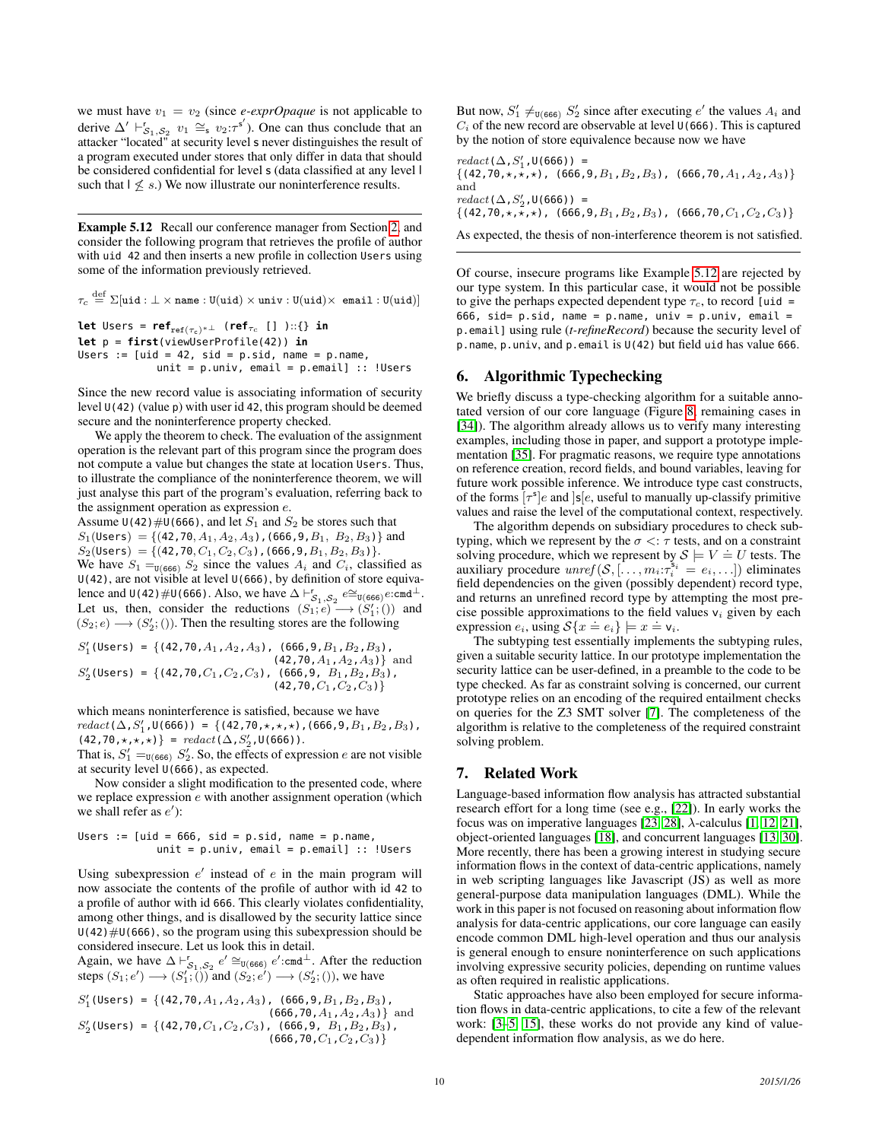we must have  $v_1 = v_2$  (since *e-exprOpaque* is not applicable to derive  $\Delta' \vdash_{S_1, S_2}^r v_1 \cong_s v_2 : \tau^{s'}$ ). One can thus conclude that an attacker "located" at security level s never distinguishes the result of a program executed under stores that only differ in data that should be considered confidential for level s (data classified at any level l such that  $\vert \leq s$ .) We now illustrate our noninterference results.

<span id="page-9-2"></span>Example 5.12 Recall our conference manager from Section [2,](#page-1-0) and consider the following program that retrieves the profile of author with uid 42 and then inserts a new profile in collection Users using some of the information previously retrieved.

 $\tau_c \stackrel{\rm def}{=} \Sigma[$ uid :  $\bot \times$  name : U $(\texttt{uid}) \times \texttt{univ} :$  U $(\texttt{uid}) \times$  email : U $(\texttt{uid})]$ **let** Users =  $\mathbf{ref}_{\text{ref}(\tau_c)*}$  ( $\mathbf{ref}_{\tau_c}$  [] )::{} **in let** p = **first**(viewUserProfile(42)) **in** Users :=  $[uid = 42, sid = p.sid, name = p.name,$ 

 $unit = p.univ$ , email =  $p.$ email] :: !Users

Since the new record value is associating information of security level  $U(42)$  (value p) with user id 42, this program should be deemed secure and the noninterference property checked.

We apply the theorem to check. The evaluation of the assignment operation is the relevant part of this program since the program does not compute a value but changes the state at location Users. Thus, to illustrate the compliance of the noninterference theorem, we will just analyse this part of the program's evaluation, referring back to the assignment operation as expression e.

Assume  $U(42)$  #U(666), and let  $S_1$  and  $S_2$  be stores such that  $S_1(\text{Users}) = \{(42, 70, A_1, A_2, A_3), (666, 9, B_1, B_2, B_3)\}\$ and  $S_2$ (Users) = {(42,70,  $C_1$ ,  $C_2$ ,  $C_3$ ),(666, 9,  $B_1$ ,  $B_2$ ,  $B_3$ )}. We have  $S_1 =_{U(666)} S_2$  since the values  $A_i$  and  $C_i$ , classified as U(42), are not visible at level U(666), by definition of store equivalence and  $U(42)$  #U(666). Also, we have  $\Delta \vdash_{\mathcal{S}_1, \mathcal{S}_2}^{\mathsf{r}} e \cong_{U(666)} e:\text{cmd}^{\perp}$ . Let us, then, consider the reductions  $(S_1; e) \rightarrow (S'_1; ()$  and  $(S_2; e) \longrightarrow (S'_2; ())$ . Then the resulting stores are the following

$$
S'_{1}(\text{Users}) = \{ (42, 70, A_1, A_2, A_3), (666, 9, B_1, B_2, B_3), (42, 70, A_1, A_2, A_3) \} \text{ and}
$$
  
\n
$$
S'_{2}(\text{Users}) = \{ (42, 70, C_1, C_2, C_3), (666, 9, B_1, B_2, B_3), (42, 70, C_1, C_2, C_3) \}
$$

which means noninterference is satisfied, because we have  $\text{redact}(\Delta, S'_1, \mathsf{U}(666)) = \{ (42, 70, \star, \star, \star), (666, 9, B_1, B_2, B_3),$  $(42, 70, \star, \star, \star)$ } =  $\text{redact}(\Delta, S'_2, \text{U}(666))$ .

That is,  $S_1' =_{U(666)} S_2'$ . So, the effects of expression e are not visible at security level U(666), as expected.

Now consider a slight modification to the presented code, where we replace expression  $e$  with another assignment operation (which we shall refer as  $e'$ ):

Users :=  $[uid = 666, sid = p.sid, name = p.name,$ unit = p.univ, email = p.email] :: !Users

Using subexpression  $e'$  instead of  $e$  in the main program will now associate the contents of the profile of author with id 42 to a profile of author with id 666. This clearly violates confidentiality, among other things, and is disallowed by the security lattice since  $U(42)$  #U(666), so the program using this subexpression should be considered insecure. Let us look this in detail.

Again, we have  $\Delta \vdash_{\mathcal{S}_1, \mathcal{S}_2}^r e' \cong_{\mathsf{U}(666)} e' : \text{cmd}^{\perp}$ . After the reduction steps  $(S_1; e') \longrightarrow (S'_1; \vec{()})$  and  $(S_2; e') \longrightarrow (S'_2; \vec{()})$ , we have

$$
S'_1(\text{Users}) = \{ (42, 70, A_1, A_2, A_3), (666, 9, B_1, B_2, B_3), (666, 70, A_1, A_2, A_3) \} \text{ and } S'_2(\text{Users}) = \{ (42, 70, C_1, C_2, C_3), (666, 9, B_1, B_2, B_3), (666, 70, C_1, C_2, C_3) \}
$$

But now,  $S'_1 \neq_{\mathsf{U}(666)} S'_2$  since after executing  $e'$  the values  $A_i$  and  $C_i$  of the new record are observable at level  $U(666)$ . This is captured by the notion of store equivalence because now we have

 $\text{redact}(\Delta, S'_1, \mathsf{U}(666))$  =  $\{(42,70,\star,\star,\star)$ ,  $(666,9,B_1,B_2,B_3)$ ,  $(666,70,A_1,A_2,A_3)\}$ and  $\text{redact}(\Delta, S'_2, \mathsf{U}(666))$  =  $\{(42,70,\star,\star,\star), (666,9,B_1,B_2,B_3), (666,70,C_1,C_2,C_3)\}$ 

As expected, the thesis of non-interference theorem is not satisfied.

Of course, insecure programs like Example [5.12](#page-9-2) are rejected by our type system. In this particular case, it would not be possible to give the perhaps expected dependent type  $\tau_c$ , to record [uid = 666, sid=  $p.sid$ , name =  $p.name$ , univ =  $p.univ$ , email = p.email] using rule (*t-refineRecord*) because the security level of p.name, p.univ, and p.email is U(42) but field uid has value 666.

## <span id="page-9-0"></span>6. Algorithmic Typechecking

We briefly discuss a type-checking algorithm for a suitable annotated version of our core language (Figure [8,](#page-10-0) remaining cases in [\[34\]](#page-11-8)). The algorithm already allows us to verify many interesting examples, including those in paper, and support a prototype implementation [\[35\]](#page-11-11). For pragmatic reasons, we require type annotations on reference creation, record fields, and bound variables, leaving for future work possible inference. We introduce type cast constructs, of the forms  $[\tau^s]e$  and  $[s]e$ , useful to manually up-classify primitive values and raise the level of the computational context, respectively.

The algorithm depends on subsidiary procedures to check subtyping, which we represent by the  $\sigma \leq \tau$  tests, and on a constraint solving procedure, which we represent by  $S \models V = U$  tests. The auxiliary procedure  $\text{unref}(S, [\dots, m_i : \tau_i^{\mathsf{s}_i} = e_i, \dots])$  eliminates field dependencies on the given (possibly dependent) record type, and returns an unrefined record type by attempting the most precise possible approximations to the field values  $v_i$  given by each expression  $e_i$ , using  $S\{x = e_i\} \models x = v_i$ .

The subtyping test essentially implements the subtyping rules, given a suitable security lattice. In our prototype implementation the security lattice can be user-defined, in a preamble to the code to be type checked. As far as constraint solving is concerned, our current prototype relies on an encoding of the required entailment checks on queries for the Z3 SMT solver [\[7\]](#page-11-12). The completeness of the algorithm is relative to the completeness of the required constraint solving problem.

# <span id="page-9-1"></span>7. Related Work

Language-based information flow analysis has attracted substantial research effort for a long time (see e.g., [\[22\]](#page-11-10)). In early works the focus was on imperative languages [\[23,](#page-11-13) [28\]](#page-11-4), λ-calculus [\[1,](#page-11-0) [12,](#page-11-3) [21\]](#page-11-14), object-oriented languages [\[18\]](#page-11-9), and concurrent languages [\[13,](#page-11-15) [30\]](#page-11-16). More recently, there has been a growing interest in studying secure information flows in the context of data-centric applications, namely in web scripting languages like Javascript (JS) as well as more general-purpose data manipulation languages (DML). While the work in this paper is not focused on reasoning about information flow analysis for data-centric applications, our core language can easily encode common DML high-level operation and thus our analysis is general enough to ensure noninterference on such applications involving expressive security policies, depending on runtime values as often required in realistic applications.

Static approaches have also been employed for secure information flows in data-centric applications, to cite a few of the relevant work: [\[3](#page-11-6)[–5,](#page-11-17) [15\]](#page-11-18), these works do not provide any kind of valuedependent information flow analysis, as we do here.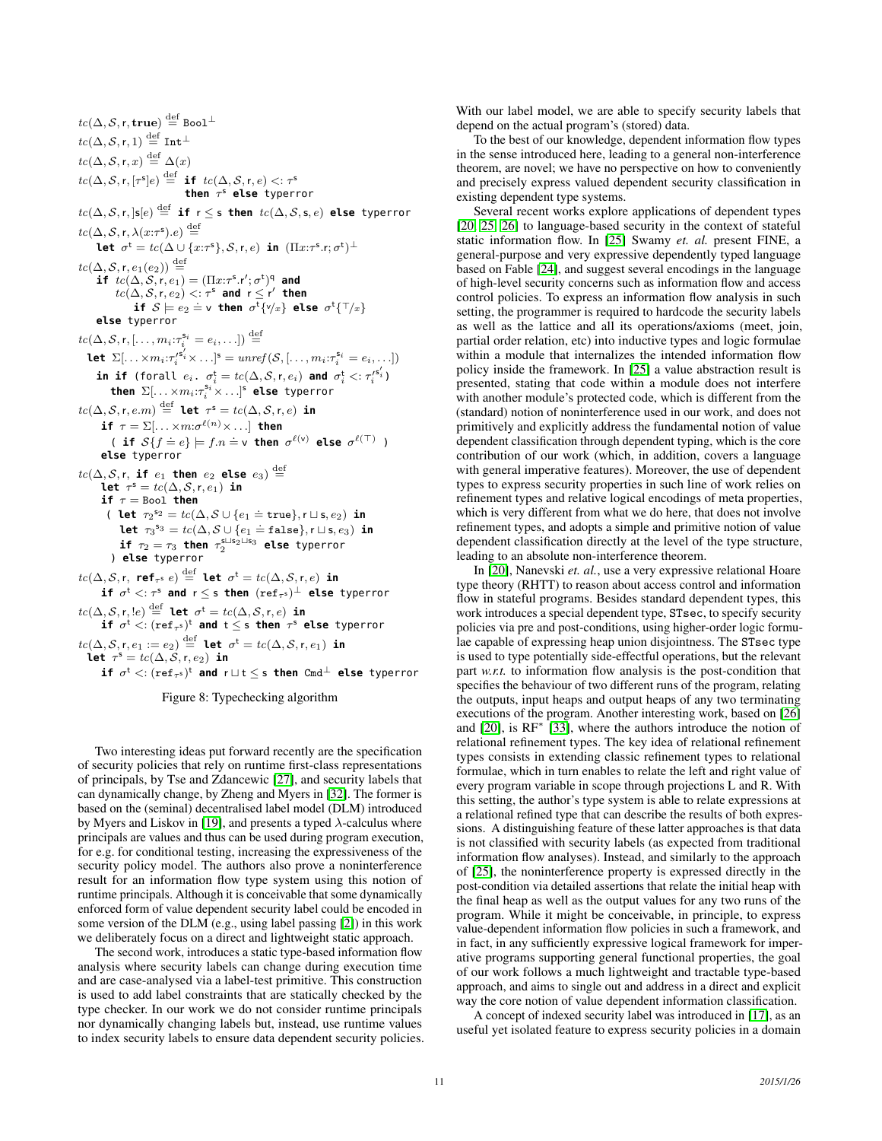<span id="page-10-0"></span> $tc(\Delta, \mathcal{S}, \mathsf{r}, \mathbf{true}) \overset{\mathrm{def}}{=} \mathtt{Bool}^\perp$  $tc(\Delta, \mathcal{S}, \mathsf{r}, 1) \stackrel{\text{def}}{=} \text{Int}^{\perp}$  $tc(\Delta, \mathcal{S}, \mathsf{r}, x) \stackrel{\text{def}}{=} \Delta(x)$  $tc(\Delta, \mathcal{S}, \mathsf{r}, [\tau^{\mathsf{s}}]e) \stackrel{\mathrm{def}}{=} \; \mathbf{if} \; \; tc(\Delta, \mathcal{S}, \mathsf{r}, e) <: \tau^{\mathsf{s}}$ **then** τ <sup>s</sup> **else** typerror  $tc(\Delta, \mathcal{S}, \mathsf{r}, \mathsf{ls}[e] \stackrel{\mathrm{def}}{=} \mathsf{if} \; \mathsf{r} \leq \mathsf{s}$  then  $tc(\Delta, \mathcal{S}, \mathsf{s}, e)$  else typerror  $tc(\Delta, \mathcal{S}, \mathsf{r}, \lambda(x:\tau^s).e) \stackrel{\text{def}}{=}$ **let**  $\sigma^t = tc(\Delta \cup \{x:\tau^s\}, \mathcal{S}, r, e)$  **in**  $(\Pi x:\tau^s.r; \sigma^t)^{\perp}$  $tc(\Delta, \mathcal{S}, \mathsf{r}, e_1(e_2)) \overset{\mathrm{def}}{=}$ **if**  $tc(\Delta, \mathcal{S}, \mathsf{r}, e_1) = (\Pi x{:}\tau^{\mathsf{s}}.\mathsf{r}'; \sigma^{\mathsf{t}})^{\mathsf{q}}$  and  $tc(\Delta, \mathcal{S}, r, e_2) <: \tau^s$  and  $r \leq r'$  then **if**  $S \models e_2 \doteq \mathsf{v}$  **then**  $\sigma^{\mathsf{t}} \{ \forall x \}$  **else**  $\sigma^{\mathsf{t}} \{ \top / x \}$ **else** typerror  $tc(\Delta, \mathcal{S}, \mathsf{r}, [\ldots, m_i: \tau_i^{\mathsf{s}_i} = e_i, \ldots]) \stackrel{\text{def}}{=}$ **let**  $\Sigma[\ldots \times m_i : \tau_i'^{\mathbf{s}'_i} \times \ldots]^{\mathbf{s}} = \textit{unref}(\mathcal{S}, [\ldots, m_i : \tau_i^{\mathbf{s}_i} = e_i, \ldots])$ in if (forall  $e_i$ .  $\sigma_i^{\text{t}} = t c(\Delta, \mathcal{S}, \mathsf{r}, e_i)$  and  $\sigma_i^{\text{t}} <: \tau_i'^{\mathsf{s}_i'}$ ) **then**  $\Sigma[\ldots\times m_i\!:\! \tau_i^{\mathsf{s}_i}\times \ldots]^{\mathsf{s}}$  **else** typerror  $tc(\Delta, \mathcal{S}, \mathsf{r}, e.m) \stackrel{\mathrm{def}}{=} \mathsf{let} \ \ \tau^\mathsf{s} = tc(\Delta, \mathcal{S}, \mathsf{r}, e) \ \mathsf{in}$ **if**  $\tau = \Sigma[ \dots \times m \mathpunct{:}\! \sigma^{\ell(n)} \times \dots]$  **then** ( **if**  $S\{f = e\} \models f.n = v$  **then**  $\sigma^{\ell(v)}$  **else**  $\sigma^{\ell(T)}$  ) **else** typerror  $tc(\Delta, \mathcal{S}, \mathsf{r}, \textbf{ if } e_1 \textbf{ then } e_2 \textbf{ else } e_3) \stackrel{\text{def}}{=}$ **let**  $\tau^{\mathsf{s}} = \textit{tc}(\Delta, \mathcal{S}, \mathsf{r}, e_1)$  **in if**  $\tau =$  Bool **then** ( **let**  $\tau_2^{s_2} = tc(\Delta, \mathcal{S} \cup \{e_1 = \text{true}\}, \mathsf{r} \sqcup \mathsf{s}, e_2)$  **in let**  $\tau_3^{s_3} = tc(\Delta, S \cup \{e_1 = false\}, r \sqcup s, e_3)$  **in**  $\mathbf{if}$   $\tau_2 = \tau_3$  **then**  $\tau_2^{\text{s} \sqcup \text{s}_2 \sqcup \text{s}_3}$  **else** typerror ) **else** typerror  $tc(\Delta, \mathcal{S}, \mathsf{r}, \ \mathsf{ref}_{\tau^\mathsf{S}} \ e) \stackrel{\mathrm{def}}{=} \ \mathsf{let} \ \ \sigma^\mathsf{t} = tc(\Delta, \mathcal{S}, \mathsf{r}, e) \ \ \mathsf{in}$  $\mathbf{if} \ \sigma^{\mathsf{t}} <: \tau^{\mathsf{s}}$  and  $\mathsf{r} \leq \mathsf{s}$  then  $(\mathtt{ref}_{\tau^{\mathsf{s}}})^\perp$  else typerror  $tc(\Delta, \mathcal{S}, \mathsf{r}, \mathsf{!e}) \stackrel{\mathrm{def}}{=} \mathsf{let} \ \ \sigma^\mathsf{t} = tc(\Delta, \mathcal{S}, \mathsf{r}, e) \ \ \mathsf{in}$  $\mathbf{if}$   $\sigma^{\mathsf{t}} <: (\mathtt{ref}_{\tau^{\mathsf{s}}})^{\mathsf{t}}$  and  $\mathsf{t} \leq \mathsf{s}$  then  $\tau^{\mathsf{s}}$  else typerror  $tc(\Delta, \mathcal{S}, \mathsf{r}, e_1 := e_2) \stackrel{\mathrm{def}}{=} \mathsf{let} \ \ \sigma^\mathsf{t} = tc(\Delta, \mathcal{S}, \mathsf{r}, e_1) \ \ \mathsf{in}$  $\mathbf{let}$   $\tau^\mathsf{s} = \mathit{tc}(\Delta, \mathcal{S}, \mathsf{r}, e_2)$   $\mathbf{in}$  $\mathbf{if}$   $\sigma^{\text{t}} <: (\mathtt{ref}_{\tau^{\text{s}}})^{\text{t}}$  and  $\text{r} \sqcup \text{t} \leq \text{s}$  **then** <code>Cmd $^{\perp}$  else</code> typerror

Figure 8: Typechecking algorithm

Two interesting ideas put forward recently are the specification of security policies that rely on runtime first-class representations of principals, by Tse and Zdancewic [\[27\]](#page-11-19), and security labels that can dynamically change, by Zheng and Myers in [\[32\]](#page-11-20). The former is based on the (seminal) decentralised label model (DLM) introduced by Myers and Liskov in [\[19\]](#page-11-21), and presents a typed  $\lambda$ -calculus where principals are values and thus can be used during program execution, for e.g. for conditional testing, increasing the expressiveness of the security policy model. The authors also prove a noninterference result for an information flow type system using this notion of runtime principals. Although it is conceivable that some dynamically enforced form of value dependent security label could be encoded in some version of the DLM (e.g., using label passing [\[2\]](#page-11-22)) in this work we deliberately focus on a direct and lightweight static approach.

The second work, introduces a static type-based information flow analysis where security labels can change during execution time and are case-analysed via a label-test primitive. This construction is used to add label constraints that are statically checked by the type checker. In our work we do not consider runtime principals nor dynamically changing labels but, instead, use runtime values to index security labels to ensure data dependent security policies. With our label model, we are able to specify security labels that depend on the actual program's (stored) data.

To the best of our knowledge, dependent information flow types in the sense introduced here, leading to a general non-interference theorem, are novel; we have no perspective on how to conveniently and precisely express valued dependent security classification in existing dependent type systems.

Several recent works explore applications of dependent types [\[20,](#page-11-23) [25,](#page-11-24) [26\]](#page-11-25) to language-based security in the context of stateful static information flow. In [\[25\]](#page-11-24) Swamy *et. al.* present FINE, a general-purpose and very expressive dependently typed language based on Fable [\[24\]](#page-11-26), and suggest several encodings in the language of high-level security concerns such as information flow and access control policies. To express an information flow analysis in such setting, the programmer is required to hardcode the security labels as well as the lattice and all its operations/axioms (meet, join, partial order relation, etc) into inductive types and logic formulae within a module that internalizes the intended information flow policy inside the framework. In [\[25\]](#page-11-24) a value abstraction result is presented, stating that code within a module does not interfere with another module's protected code, which is different from the (standard) notion of noninterference used in our work, and does not primitively and explicitly address the fundamental notion of value dependent classification through dependent typing, which is the core contribution of our work (which, in addition, covers a language with general imperative features). Moreover, the use of dependent types to express security properties in such line of work relies on refinement types and relative logical encodings of meta properties, which is very different from what we do here, that does not involve refinement types, and adopts a simple and primitive notion of value dependent classification directly at the level of the type structure, leading to an absolute non-interference theorem.

In [\[20\]](#page-11-23), Nanevski *et. al.*, use a very expressive relational Hoare type theory (RHTT) to reason about access control and information flow in stateful programs. Besides standard dependent types, this work introduces a special dependent type, STsec, to specify security policies via pre and post-conditions, using higher-order logic formulae capable of expressing heap union disjointness. The STsec type is used to type potentially side-effectful operations, but the relevant part *w.r.t.* to information flow analysis is the post-condition that specifies the behaviour of two different runs of the program, relating the outputs, input heaps and output heaps of any two terminating executions of the program. Another interesting work, based on [\[26\]](#page-11-25) and  $[20]$ , is  $RF^*$   $[33]$ , where the authors introduce the notion of relational refinement types. The key idea of relational refinement types consists in extending classic refinement types to relational formulae, which in turn enables to relate the left and right value of every program variable in scope through projections L and R. With this setting, the author's type system is able to relate expressions at a relational refined type that can describe the results of both expressions. A distinguishing feature of these latter approaches is that data is not classified with security labels (as expected from traditional information flow analyses). Instead, and similarly to the approach of [\[25\]](#page-11-24), the noninterference property is expressed directly in the post-condition via detailed assertions that relate the initial heap with the final heap as well as the output values for any two runs of the program. While it might be conceivable, in principle, to express value-dependent information flow policies in such a framework, and in fact, in any sufficiently expressive logical framework for imperative programs supporting general functional properties, the goal of our work follows a much lightweight and tractable type-based approach, and aims to single out and address in a direct and explicit way the core notion of value dependent information classification.

A concept of indexed security label was introduced in [\[17\]](#page-11-5), as an useful yet isolated feature to express security policies in a domain